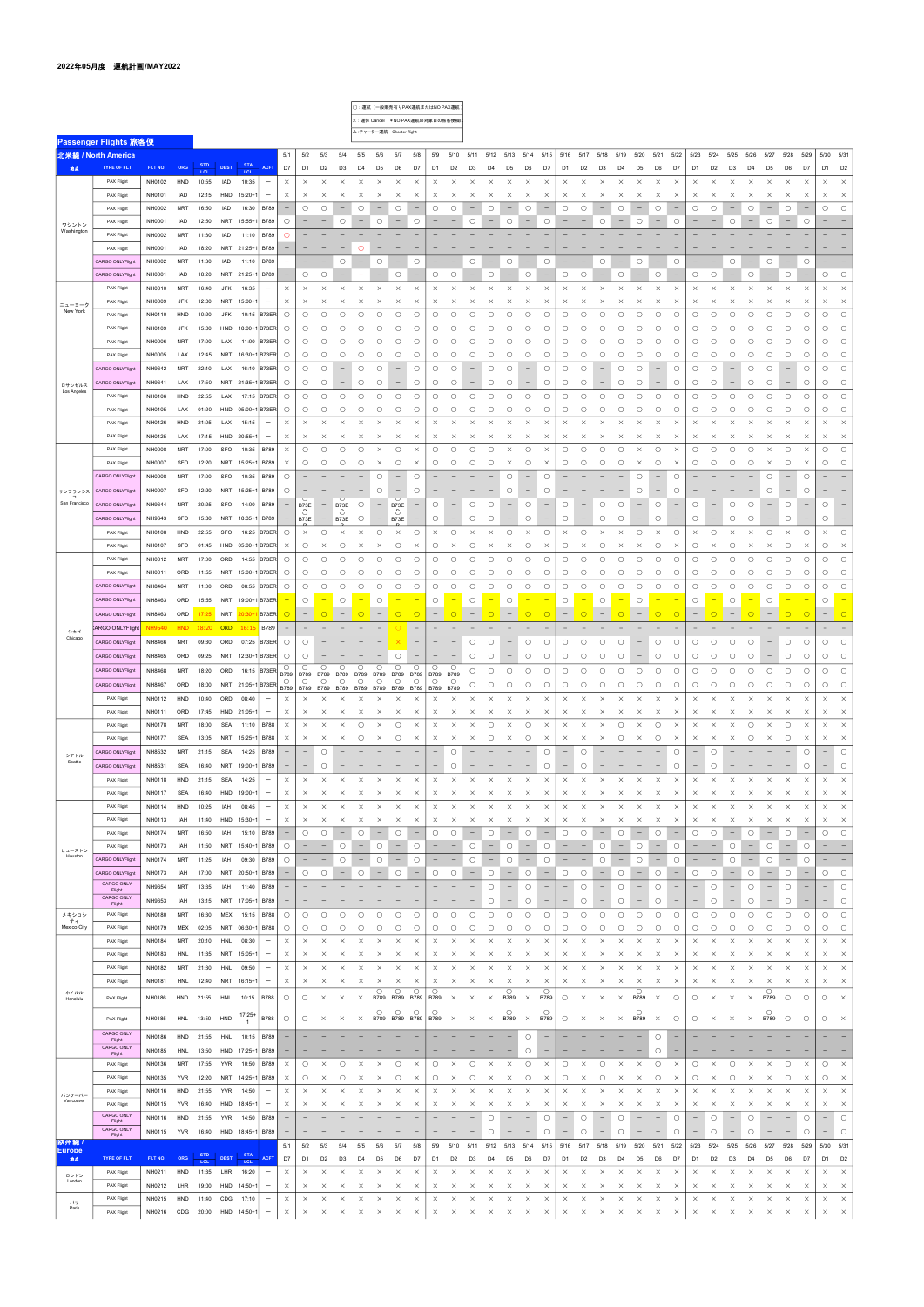|                         |                                       |               |            |                   |             |                   |                                 |                                 |                          |                                          |                          |                                   |                          |                                 | ○: 運航 (一般販売有りPAX運航またはNO PAX運航)    |                          |                                     |                          |                          |                                   |                          |                                 |                          |                                     |                          |                          |                                 |                          |                          |                   |                          |                          |                          |                          |                          |                                 |                          |                     |
|-------------------------|---------------------------------------|---------------|------------|-------------------|-------------|-------------------|---------------------------------|---------------------------------|--------------------------|------------------------------------------|--------------------------|-----------------------------------|--------------------------|---------------------------------|-----------------------------------|--------------------------|-------------------------------------|--------------------------|--------------------------|-----------------------------------|--------------------------|---------------------------------|--------------------------|-------------------------------------|--------------------------|--------------------------|---------------------------------|--------------------------|--------------------------|-------------------|--------------------------|--------------------------|--------------------------|--------------------------|--------------------------|---------------------------------|--------------------------|---------------------|
|                         |                                       |               |            |                   |             |                   |                                 |                                 |                          |                                          |                          |                                   |                          |                                 | ×: 運休 Cancel *NO PAX運航の対象日の旅客便欄に  |                          |                                     |                          |                          |                                   |                          |                                 |                          |                                     |                          |                          |                                 |                          |                          |                   |                          |                          |                          |                          |                          |                                 |                          |                     |
|                         |                                       |               |            |                   |             |                   |                                 |                                 |                          |                                          |                          | △:チャーター運航 Charter flight          |                          |                                 |                                   |                          |                                     |                          |                          |                                   |                          |                                 |                          |                                     |                          |                          |                                 |                          |                          |                   |                          |                          |                          |                          |                          |                                 |                          |                     |
|                         | <b>Passenger Flights 旅客便</b>          |               |            |                   |             |                   |                                 |                                 |                          |                                          |                          |                                   |                          |                                 |                                   |                          |                                     |                          |                          |                                   |                          |                                 |                          |                                     |                          |                          |                                 |                          |                          |                   |                          |                          |                          |                          |                          |                                 |                          |                     |
|                         | 北米線 / North America                   |               |            |                   |             |                   |                                 | 5/1                             | 5/2                      | 5/3                                      | 5/4                      | 5/5                               | 5/6                      | 5/7                             | 5/8                               | 5/9                      | 5/10                                | 5/11                     |                          |                                   | 5/12 5/13 5/14 5/15      |                                 | 5/16 5/17                |                                     | 5/18                     | 5/19                     | 5/20                            | 5/21                     | 5/22                     | 5/23              | 5/24                     | 5/25                     | 5/26                     | 5/27                     | 5/28                     | 5/29                            | 5/30 5/31                |                     |
| 地点                      | <b>TYPE OF FLT</b>                    | FLT NO.       | ORG        | <b>STD</b><br>LCL | <b>DEST</b> | <b>STA</b><br>LCL | <b>ACFT</b>                     | D7                              | D <sub>1</sub>           | D <sub>2</sub>                           | D <sub>3</sub>           | D4                                | D5                       | D6                              | D7                                | D1                       | D <sub>2</sub>                      | D3                       | D4                       | D5                                | D6                       | D7                              | D1                       | D <sub>2</sub>                      | D3                       | D <sub>4</sub>           | D <sub>5</sub>                  | D6                       | D7                       | D1                | D <sub>2</sub>           | D <sub>3</sub>           | D4                       | D <sub>5</sub>           | D <sub>6</sub>           | D7                              | D <sub>1</sub>           | D <sub>2</sub>      |
|                         | PAX Flight                            | NH0102        | HND        | 10:55             | IAD         | 10:35             | $\overline{\phantom{0}}$        | $\times$                        | $\times$                 | $\times$                                 | $\times$                 | $\times$                          | $\times$                 | $\times$                        | $\times$                          | $\times$                 | $\times$                            | $\times$                 | $\times$                 | $\times$                          | $\times$                 | $\times$                        | $\times$                 | $\times$                            | $\times$                 | $\times$                 | $\times$                        | $\times$                 | $\times$                 | $\times$          | $\times$                 | $\times$                 | $\times$                 | $\times$                 | $\times$                 | $\times$                        | $\times$                 | $\times$            |
|                         | PAX Flight                            | NH0101        | IAD        | 12:15             | HND         | 15:20+1           | -                               | $\times$                        | $\times$                 | $\times$                                 | $\times$                 | $\times$                          | $\times$                 | $\times$                        | $\times$                          | $\times$                 | $\times$                            | $\times$                 | $\times$                 | $\times$                          | $\times$                 | $\times$                        | $\times$                 | $\times$                            | $\times$                 | $\times$                 | $\times$                        | $\times$                 | $\times$                 | $\times$          | $\times$                 | $\times$                 | $\times$                 | $\times$                 | $\times$                 | X                               | $\times$                 | $\times$            |
|                         |                                       |               |            |                   |             |                   |                                 |                                 |                          |                                          |                          |                                   |                          |                                 |                                   |                          |                                     |                          |                          |                                   |                          |                                 |                          |                                     |                          |                          |                                 |                          |                          |                   |                          |                          |                          |                          |                          |                                 |                          |                     |
|                         | PAX Flight                            | NH0002        | <b>NRT</b> | 16:50             | IAD         | 16:30             | <b>B789</b>                     | $\overline{\phantom{0}}$        | $\circ$                  | $\circ$                                  | $\overline{\phantom{0}}$ | $\circ$                           | -                        | $\circ$                         |                                   | $\circ$                  | $\circ$                             |                          | $\circ$                  |                                   | О                        |                                 | $\circ$                  | $\circ$                             |                          | $\circ$                  |                                 | $\circ$                  |                          | O                 | О                        |                          | $\circ$                  |                          | $\circ$                  | $\qquad \qquad -$               | O                        | $\bigcirc$          |
| ワシントン<br>Washington     | PAX Flight                            | NH0001        | IAD        | 12:50             | NRT         | $15:55+1$         | <b>B789</b>                     | $\circ$                         | $\qquad \qquad -$        | $\qquad \qquad -$                        | $\circ$                  | $\hspace{0.1in} - \hspace{0.1in}$ | $\circ$                  | $\hspace{0.1mm}-\hspace{0.1mm}$ | $\circ$                           |                          |                                     | $\circ$                  | $\qquad \qquad -$        | $\circ$                           | $\qquad \qquad -$        | $\circ$                         |                          | $\overline{\phantom{0}}$            | $\circ$                  | $\overline{\phantom{a}}$ | $\circ$                         | $\overline{\phantom{m}}$ | O                        |                   |                          | $\circ$                  | $\overline{\phantom{m}}$ | $\circ$                  | $\overline{\phantom{m}}$ | $\circ$                         |                          |                     |
|                         | PAX Flight                            | NH0002        | <b>NRT</b> | 11:30             | IAD         | 11:10             | <b>B789</b>                     | $\circ$                         |                          |                                          |                          |                                   |                          |                                 |                                   |                          |                                     |                          |                          |                                   |                          |                                 |                          |                                     |                          |                          |                                 |                          |                          |                   |                          |                          |                          |                          |                          |                                 |                          |                     |
|                         | PAX Flight                            | NH0001        | IAD        | 18:20             |             | NRT 21:25+1       | <b>B789</b>                     | $\qquad \qquad -$               |                          |                                          |                          | O                                 |                          |                                 |                                   |                          |                                     |                          |                          |                                   |                          |                                 |                          |                                     |                          |                          |                                 |                          |                          |                   |                          |                          |                          |                          |                          |                                 |                          |                     |
|                         | <b>CARGO ONLYFlight</b>               | NH0002        | NRT        | 11:30             | IAD         | 11:10             | <b>B789</b>                     | $\sim$                          |                          | $\overline{\phantom{0}}$                 | $\circ$                  | $\qquad \qquad -$                 | $\bigcirc$               | $\overline{\phantom{0}}$        | $\circ$                           | $\overline{\phantom{0}}$ | $\overline{\phantom{0}}$            | $\circ$                  | $\overline{\phantom{0}}$ | $\circ$                           | $\overline{\phantom{m}}$ | $\circ$                         |                          |                                     | $\circ$                  | $\overline{\phantom{0}}$ | $\circ$                         | $\qquad \qquad -$        | $\circ$                  |                   |                          | О                        | $\qquad \qquad -$        | $\bigcirc$               | $\qquad \qquad -$        | $\circlearrowright$             |                          |                     |
|                         | <b>CARGO ONLYFlight</b>               | NH0001        | IAD        | 18:20             |             | NRT 21:25+1       | <b>B789</b>                     | $\overline{\phantom{m}}$        | $\circ$                  | $\circlearrowright$                      | $\qquad \qquad -$        | $\overline{\phantom{a}}$          | $\qquad \qquad -$        | $\circlearrowright$             | $\overline{\phantom{m}}$          | О                        | $\circlearrowright$                 | $\overline{\phantom{0}}$ | $\circlearrowright$      | $\qquad \qquad -$                 | $\circlearrowright$      | $\overline{\phantom{m}}$        | $\circ$                  | $\circ$                             | $\qquad \qquad -$        | $\circ$                  | $\qquad \qquad -$               | $\circ$                  | $\qquad \qquad -$        | O                 | О                        | $\qquad \qquad -$        | $\circlearrowright$      | $\overline{\phantom{a}}$ | $\circlearrowright$      | $\hspace{0.1mm}-\hspace{0.1mm}$ | $\bigcirc$               | $\circ$             |
|                         | PAX Flight                            | NH0010        | <b>NRT</b> | 16:40             | <b>JFK</b>  | 16:35             | $\overline{\phantom{m}}$        | $\times$                        | $\times$                 | $\times$                                 | $\times$                 | $\times$                          | $\times$                 | $\times$                        | $\times$                          | $\times$                 | $\times$                            | $\times$                 | $\times$                 | $\times$                          | $\times$                 | $\times$                        | $\times$                 | $\times$                            | $\times$                 | $\times$                 | $\times$                        | $\times$                 | $\times$                 | $\times$          | $\times$                 | $\times$                 | ×                        | $\times$                 | $\times$                 | $\times$                        | $\times$                 | $\times$            |
|                         | PAX Flight                            | NH0009        | <b>JFK</b> | 12:00             | <b>NRT</b>  | $15:00+$          | $\overline{\phantom{a}}$        | $\times$                        | $\times$                 | $\times$                                 | $\times$                 | $\times$                          | $\times$                 | $\times$                        | $\times$                          | $\times$                 | $\times$                            | $\times$                 | $\times$                 | $\times$                          | $\times$                 | $\times$                        | $\times$                 | $\times$                            | $\times$                 | $\times$                 | $\times$                        | $\times$                 | $\times$                 | $\times$          | $\times$                 | $\times$                 | ×                        | $\times$                 | $\times$                 | $\times$                        | $\times$                 | $\times$            |
| ニューヨーク<br>New York      | PAX Flight                            | NH0110        | HND        | 10:20             | <b>JFK</b>  | 10:15             | B73ER                           | $\circ$                         | $\circ$                  | $\circ$                                  | $\circlearrowright$      | $\circ$                           | $\circ$                  | $\circ$                         | O                                 | $\bigcirc$               | $\circ$                             | $\circ$                  | $\bigcirc$               | $\circ$                           | $\circ$                  | $\circ$                         | $\circ$                  | $\circ$                             | $\circ$                  | $\circ$                  | $\circ$                         | $\circ$                  | $\circ$                  | $\circ$           | $\circ$                  | $\circ$                  | О                        | $\circ$                  | $\bigcirc$               | $\bigcirc$                      | $\bigcirc$               | $\circlearrowright$ |
|                         | PAX Flight                            | NH0109        | JFK        | 15:00             | HND         | 18:00+1 B73ER     |                                 | $\circ$                         | $\circ$                  | $\circ$                                  | $\circ$                  |                                   | О                        |                                 |                                   | $\circ$                  | $\circ$                             |                          |                          |                                   | О                        | $\circ$                         | $\circ$                  | $\circ$                             | $\circ$                  |                          | $\circ$                         | О                        | O                        | $\circ$           | О                        | О                        | О                        | О                        | $\circ$                  | $\circ$                         | $\circlearrowright$      | $\circlearrowright$ |
|                         |                                       |               |            |                   |             |                   |                                 |                                 |                          |                                          |                          | $\circ$                           |                          | $\circ$                         | $\circ$                           |                          |                                     | $\circ$                  | $\circ$                  | $\circ$                           |                          |                                 |                          |                                     |                          | $\circ$                  |                                 |                          |                          |                   |                          |                          |                          |                          |                          |                                 |                          |                     |
|                         | PAX Flight                            | NH0006        | <b>NRT</b> | 17:00             | LAX         | 11:00             | B73ER                           | $\circ$                         | $\circ$                  | $\circ$                                  | $\circ$                  | $\circ$                           | $\circ$                  | $\circ$                         | $\circ$                           | $\circ$                  | $\circ$                             | $\circ$                  | $\circ$                  | $\circ$                           | О                        | $\circ$                         | $\circ$                  | $\circ$                             | $\circ$                  | $\circ$                  | $\circ$                         | $\circ$                  | $\circ$                  | $\circ$           | O                        | $\circ$                  | О                        | О                        | $\circ$                  | $\circ$                         | $\bigcirc$               | $\circlearrowright$ |
|                         | PAX Flight                            | NH0005        | LAX        | 12:45             |             | NRT 16:30+1 B73ER |                                 | $\circ$                         | $\circ$                  | $\circ$                                  | $\circ$                  | $\circ$                           | $\circ$                  | $\circ$                         | $\circ$                           | $\circ$                  | $\circ$                             | $\circ$                  | $\circ$                  | $\circ$                           | О                        | $\circ$                         | $\circ$                  | $\circ$                             | $\circ$                  | $\circ$                  | $\circ$                         | $\circ$                  | O                        | O                 | $\circ$                  | О                        | О                        | $\circ$                  | $\circ$                  | $\circ$                         | $\bigcirc$               | $\circlearrowright$ |
|                         | <b>CARGO ONLYFlight</b>               | NH9642        | <b>NRT</b> | 22:10             | LAX         | 16:10             | B73ER                           | $\circ$                         | $\circ$                  | $\circ$                                  |                          | $\circ$                           | $\circ$                  |                                 | $\circ$                           | $\circ$                  | $\circ$                             |                          | $\circ$                  | $\circ$                           |                          | $\circ$                         | $\circ$                  | $\circ$                             |                          | $\circ$                  | $\circ$                         | $\qquad \qquad -$        | $\circ$                  | $\circ$           | О                        |                          | $\circ$                  | О                        | $\overline{\phantom{m}}$ | $\circ$                         | $\bigcirc$               | $\circ$             |
| ロサンゼルス                  | <b>CARGO ONLYFlight</b>               | NH9641        | LAX        | 17:50             |             | NRT 21:35+1 B73ER |                                 | $\circ$                         | $\circ$                  | $\circ$                                  | $\qquad \qquad -$        | $\circ$                           | О                        | $\qquad \qquad -$               | $\circ$                           | $\circ$                  | $\circ$                             | $\qquad \qquad -$        | $\circ$                  | $\circ$                           | $\qquad \qquad -$        | $\circ$                         | $\circ$                  | $\circ$                             | $\overline{\phantom{m}}$ | $\circ$                  | $\circ$                         | $\qquad \qquad -$        | $\circ$                  | O                 | О                        | $\qquad \qquad -$        | $\circ$                  | $\circ$                  | $\overline{\phantom{m}}$ | $\circ$                         | $\circ$                  | $\circ$             |
| Los Angeles             | PAX Flight                            | NH0106        | HND        | 22:55             | LAX         | 17:15             | B73ER                           | $\circ$                         | $\circ$                  | $\circ$                                  | $\circlearrowright$      | $\bigcirc$                        | $\circ$                  | $\circ$                         | $\circ$                           | $\circ$                  | $\circ$                             | $\circ$                  | $\bigcirc$               | $\circ$                           | $\circ$                  | $\circ$                         | $\circ$                  | $\circ$                             | $\circ$                  | $\circ$                  | $\circ$                         | $\bigcirc$               | $\circ$                  | O                 | $\circ$                  | $\bigcirc$               | $\circ$                  | $\bigcirc$               | $\circlearrowright$      | $\circ$                         | $\bigcirc$               | $\circlearrowright$ |
|                         | PAX Flight                            | NH0105        | LAX        | 01:20             | HND         | 05:00+1B73ER      |                                 | $\circ$                         | $\circ$                  | $\circ$                                  | $\circ$                  | $\circ$                           | O                        | $\circ$                         | $\circ$                           | $\circ$                  | $\circ$                             | $\circ$                  | $\circ$                  | $\circ$                           | О                        | $\circ$                         | $\circ$                  | $\circ$                             | $\circ$                  | $\circ$                  | $\circ$                         | $\circ$                  | O                        | O                 | О                        | О                        | О                        | $\circ$                  | $\circ$                  | $\circ$                         | $\bigcirc$               | $\circ$             |
|                         | PAX Flight                            | NH0126        | HND        | 21:05             | LAX         | 15:15             | $\qquad \qquad -$               | $\times$                        | $\times$                 | $\times$                                 | $\times$                 | $\times$                          | $\times$                 | $\times$                        | $\times$                          | $\times$                 | $\times$                            | $\times$                 | $\times$                 | $\times$                          | $\times$                 | $\times$                        | $\times$                 | $\times$                            | $\times$                 | $\times$                 | $\times$                        | $\times$                 | $\times$                 | $\times$          | $\times$                 | $\times$                 | $\times$                 | $\times$                 | $\times$                 | $\times$                        | $\times$                 | $\times$            |
|                         | PAX Flight                            | NH0125        | LAX        | 17:15             | HND         | $20:55+$          | $\qquad \qquad -$               | $\times$                        | $\times$                 | $\times$                                 | $\times$                 | $\times$                          | ×                        | $\times$                        | $\times$                          | $\times$                 | $\times$                            | $\times$                 | $\times$                 | $\times$                          | $\times$                 | $\times$                        | $\times$                 | $\times$                            | $\times$                 | $\times$                 | $\times$                        | $\times$                 | $\times$                 | $\times$          | $\times$                 | $\times$                 | ×                        | $\times$                 | $\times$                 | $\times$                        | $\times$                 | $\times$            |
|                         |                                       |               |            |                   |             |                   |                                 |                                 |                          |                                          |                          |                                   |                          |                                 |                                   |                          |                                     |                          |                          |                                   |                          |                                 |                          |                                     |                          |                          |                                 |                          |                          |                   |                          |                          |                          |                          |                          |                                 |                          | $\circ$             |
|                         | PAX Flight                            | NH0008        | NRT        | 17:00             | SFO         | 10:35             | B789                            | $\times$                        | $\circ$                  | $\circ$                                  | $\circlearrowright$      | $\bigcirc$                        | $\times$                 | $\circ$                         | $\times$                          | $\circ$                  | $\circ$                             | $\circ$                  | $\bigcirc$               | $\times$                          | $\circ$                  | $\times$                        | $\circ$                  | $\circ$                             | $\circ$                  | $\circ$                  | $\times$                        | $\circ$                  | $\times$                 | $\circ$           | O                        | $\circ$                  | $\circ$                  | $\times$                 | $\circlearrowright$      | $\times$                        | $\circlearrowright$      |                     |
|                         | PAX Flight                            | NH0007        | SFO        | 12:20             | NRT         | $15:25+1$         | B789                            | $\times$                        | $\circ$                  | $\circ$                                  | $\circ$                  | $\circ$                           | $\times$                 | $\circ$                         | $\times$                          | $\circ$                  | $\circ$                             | $\circ$                  | $\circ$                  | $\times$                          | О                        | $\times$                        | $\circ$                  | $\circ$                             | $\circ$                  | $\circ$                  | $\times$                        | $\circ$                  | $\times$                 | O                 | $\circ$                  | $\circ$                  | $\circ$                  | $\times$                 | $\circ$                  | $\times$                        | O                        | $\circ$             |
|                         | <b>CARGO ONLYFlight</b>               | NH0008        | NRT        | 17:00             | SFO         | 10:35             | <b>B789</b>                     | $\circ$                         |                          |                                          |                          |                                   | $\circ$                  | $\overline{\phantom{0}}$        | $\circ$                           |                          |                                     |                          |                          | $\circ$                           |                          | $\circ$                         |                          |                                     |                          |                          | $\circ$                         | $\overline{\phantom{m}}$ | $\circ$                  |                   |                          |                          |                          | $\circ$                  | $\overline{\phantom{a}}$ | $\circ$                         |                          |                     |
| サンフランシス                 | <b>CARGO ONLYFlight</b>               | NH0007        | SFO        | 12:20             | NRT         | $15:25+1$         | B789                            | $\circ$                         | $\overline{\phantom{0}}$ |                                          |                          |                                   | $\bigcirc$               | $\qquad \qquad -$               | $\circ$                           |                          |                                     |                          |                          | $\circ$                           | $\qquad \qquad -$        | $\circ$                         |                          |                                     |                          |                          | $\circ$                         | $\qquad \qquad -$        | O                        |                   |                          |                          |                          | $\circ$                  | $\overline{\phantom{m}}$ | $\circ$                         |                          |                     |
| $\Box$<br>San Francisco | <b>CARGO ONLYFlight</b>               | NH9644        | NRT        | 20:25             | SFO         | 14:00             | <b>B789</b>                     | $\overline{\phantom{m}}$        | B73E                     | $\overline{\phantom{m}}$                 | B73E                     | $\circ$                           | $\overline{\phantom{m}}$ | B73E                            |                                   | $\circ$                  |                                     | $\circ$                  | $\circ$                  | $\overline{\phantom{a}}$          | $\circ$                  |                                 | $\circ$                  |                                     | $\circ$                  | $\circ$                  |                                 | $\circ$                  |                          | $\circ$           |                          | $\circ$                  | $\circ$                  |                          | $\circ$                  | $\qquad \qquad -$               | $\circ$                  |                     |
|                         | <b>CARGO ONLYFlight</b>               | NH9643        | SFO        | 15:30             | NRT         | $18:35+1$         | B789                            | $\qquad \qquad -$               | ಿ<br>B73E                | $ \,$                                    | €<br>B73E                | $\circ$                           | $\overline{\phantom{m}}$ | ಿ<br>B73E                       | $\hspace{1.0cm} - \hspace{1.0cm}$ | $\circ$                  | $\qquad \qquad -$                   | $\circ$                  | $\circ$                  | $\qquad \qquad -$                 | $\circ$                  | $\qquad \qquad -$               | $\circ$                  | $\overline{\phantom{m}}$            | $\circ$                  | $\circ$                  | $\overline{\phantom{m}}$        | $\circ$                  | $\qquad \qquad -$        | $\circ$           | $\overline{\phantom{m}}$ | О                        | $\circ$                  | $\overline{\phantom{m}}$ | $\circ$                  | $\hspace{0.1mm}-\hspace{0.1mm}$ | $\circlearrowright$      | $\qquad \qquad -$   |
|                         | PAX Flight                            | NH0108        | HND        | 22:55             | SFO         | 16:25             | B73ER                           | $\circ$                         | $\times$                 | $\circ$                                  | $\times$                 | $\times$                          | $\circ$                  | $\times$                        | $\circ$                           | $\times$                 | $\circ$                             | $\times$                 | $\times$                 | $\circ$                           | $\times$                 | $\circ$                         | $\times$                 | $\circ$                             | $\times$                 | $\times$                 | $\circ$                         | $\times$                 | $\circ$                  | $\times$          | О                        | $\times$                 | ×                        | $\circ$                  | $\times$                 | $\circ$                         | $\times$                 | $\circlearrowright$ |
|                         | PAX Flight                            | NH0107        | SFO        | 01:45             | HND         | 05:00+1B73ER      |                                 | $\times$                        | $\circ$                  | $\times$                                 | $\circ$                  | $\times$                          | $\times$                 | $\circ$                         | $\times$                          | $\circ$                  | $\times$                            |                          | $\times$                 | $\times$                          |                          | $\times$                        | $\circ$                  | $\times$                            |                          | $\times$                 | $\times$                        | $\circ$                  | $\times$                 | O                 | $\times$                 | $\circ$                  | $\times$                 | $\times$                 | $\circ$                  | $\times$                        | $\circ$                  | $\times$            |
|                         |                                       |               |            |                   |             |                   |                                 |                                 |                          |                                          |                          |                                   |                          |                                 |                                   |                          |                                     | $\circ$                  |                          |                                   | $\circ$                  |                                 |                          |                                     | $\circ$                  |                          |                                 |                          |                          |                   |                          |                          |                          |                          |                          |                                 |                          |                     |
|                         | PAX Flight                            | NH0012        | NRT        | 17:00             | ORD         | 14:55             | B73ER                           | $\circ$                         | $\circ$                  | $\circ$                                  | $\circ$                  | $\circ$                           | $\circ$                  | $\circ$                         | $\circ$                           | $\circ$                  | $\circ$                             | $\circ$                  | $\circ$                  | $\circ$                           | $\circ$                  | $\circ$                         | $\circ$                  | $\circ$                             | $\circ$                  | $\circ$                  | $\circ$                         | $\bigcirc$               | O                        | O                 | O                        | О                        | О                        | $\bigcirc$               | $\bigcirc$               | $\circ$                         | $\bigcirc$               | $\circlearrowright$ |
|                         | PAX Flight                            | NH0011        | ORD        | 11:55             | NRT         | 15:00+1B73ER      |                                 | $\circ$                         | $\circ$                  | $\circ$                                  | $\circ$                  | $\circ$                           | $\circ$                  | $\circ$                         | $\circ$                           | $\circ$                  | $\circ$                             | $\circ$                  | $\circ$                  | $\circ$                           | $\circ$                  | $\circ$                         | $\circ$                  | $\circ$                             | $\circ$                  | $\circ$                  | $\circ$                         | $\circ$                  | O                        | O                 | О                        | О                        | $\circ$                  | $\circ$                  | $\circ$                  | $\circ$                         | $\bigcirc$               | $\circ$             |
|                         | CARGO ONLYFlight                      | NH8464        | <b>NRT</b> | 11:00             | ORD         | 08:55             | B73ER                           | $\circ$                         | $\circ$                  | $\circ$                                  | $\circ$                  | $\circ$                           | О                        | $\circ$                         | $\circ$                           | $\circ$                  | O                                   | $\circ$                  | $\circ$                  | $\circ$                           | $\circ$                  | $\circ$                         | $\circ$                  | $\circ$                             | $\circ$                  | $\circ$                  | $\circ$                         | $\circ$                  | $\circ$                  | $\circ$           | O                        | $\circ$                  | О                        | О                        | $\circ$                  | O                               | $\bigcirc$               | $\bigcirc$          |
|                         | CARGO ONLYFlight                      | NH8463        | ORD        | 15:55             | <b>NRT</b>  | 19:00+1B73ER      |                                 |                                 | $\circ$                  |                                          | $\bigcirc$               |                                   | $\bigcirc$               |                                 |                                   | $\circ$                  |                                     | $\bigcirc$               |                          | $\circ$                           |                          |                                 | $\circ$                  |                                     | $\circ$                  |                          | $\circ$                         |                          |                          | O                 |                          | О                        |                          | $\circ$                  |                          |                                 | $\circ$                  |                     |
|                         | <b>CARGO ONLYFlight</b>               | NH8463        | ORD        | 17:25             |             |                   |                                 | $\circ$                         | $-$                      | $\circ$                                  | $\overline{\phantom{0}}$ | $\circ$                           | $\overline{\phantom{a}}$ | $\circ$                         | $\circ$                           | $\qquad \qquad -$        | $\circ$                             | $ \,$                    | $\circ$                  | $\overline{\phantom{a}}$          | $\circ$                  | $\circ$                         | $-$                      | $\circ$                             | $ \,$                    | $\circ$                  | $\overline{\phantom{a}}$        | $\circ$                  | $\circ$                  | $\qquad \qquad -$ | $\circ$                  | $\overline{\phantom{m}}$ | $\circ$                  | $\overline{\phantom{m}}$ | $\circ$                  | $\circ$                         | $\qquad \qquad -$        | $\circ$             |
|                         | ARGO ONLYFlight                       | <b>NH9640</b> |            | HND 18:20         | <b>ORD</b>  | 16:15             | B789                            |                                 |                          |                                          |                          |                                   |                          |                                 |                                   |                          |                                     |                          |                          |                                   |                          |                                 |                          |                                     |                          |                          |                                 |                          |                          |                   |                          |                          |                          |                          |                          |                                 |                          |                     |
| シカゴ<br>Chicago          | <b>CARGO ONLYFlight</b>               | NH8466        | <b>NRT</b> | 09:30             | ORD         |                   | 07:25 B73ER                     | $\circ$                         | $\circ$                  |                                          |                          |                                   |                          | $\mathsf{\times}$               |                                   |                          |                                     | $\circ$                  | $\circ$                  |                                   | $\circ$                  | $\circ$                         | $\circ$                  | $\circ$                             | $\circ$                  | $\circ$                  |                                 | $\circ$                  | $\circ$                  | $\circ$           | O                        | $\circ$                  | О                        |                          | $\circ$                  | $\circ$                         | $\bigcirc$               | $\circ$             |
|                         |                                       |               |            |                   |             |                   |                                 |                                 |                          |                                          |                          |                                   |                          |                                 |                                   |                          |                                     |                          |                          |                                   |                          |                                 |                          |                                     |                          |                          |                                 |                          |                          |                   |                          |                          |                          |                          |                          |                                 |                          |                     |
|                         | CARGO ONLYFlight                      | NH8465        | ORD        | 09:25             |             | NRT 12:30+1 B73ER |                                 | $\circ$                         | $\circ$<br>$\circ$       | $\circ$                                  | $\circ$                  | $\circ$                           | $\circ$                  | $\circ$<br>$\circ$              |                                   |                          | $\circ$                             | $\circ$                  | $\circ$                  | $\hspace{1.0cm} - \hspace{1.0cm}$ | $\circ$                  | $\circ$                         | $\circ$                  | $\circ$                             | $\circ$                  | $\circ$                  | $\overline{\phantom{m}}$        | $\circ$                  | $\circ$                  | O                 | О                        | О                        | О                        | $\overline{\phantom{m}}$ | $\circ$                  | $\circ$                         | $\circ$                  | $\circ$             |
|                         | CARGO ONLYFlight                      | NH8468        | <b>NRT</b> | 18:20             | ORD         |                   | 16:15   B73ER                   | $\circ$<br><b>B789</b>          | <b>B789</b>              | <b>B789</b>                              | <b>B789</b>              | <b>B789</b>                       | <b>B789</b>              | <b>B789</b>                     | $\circ$<br><b>B789</b>            | $\circ$<br><b>B789</b>   | <b>B789</b>                         | $\circ$                  | $\circlearrowright$      | $\circ$                           | $\bigcirc$               | $\circ$                         | $\circ$                  | $\circ$                             | $\circ$                  | $\circ$                  | $\circ$                         | $\circ$                  | $\circ$                  | $\circ$           | $\circ$                  | $\bigcirc$               | $\circ$                  | $\bigcirc$               | $\circlearrowright$      | $\bigcirc$                      | $\bigcirc$               | $\circ$             |
|                         | CARGO ONLYFlight                      | NH8467        | ORD        | 18:00             |             | NRT 21:05+1 B73ER |                                 | $\circ$<br><b>B789</b>          | $\circ$                  | $\circ$<br>B789 B789 B789 B789 B789 B789 | $\circ$                  | $\circ$                           | $\circ$                  | $\circ$                         | $\circ$<br><b>B789</b>            | $\circ$<br><b>B789</b>   | $\circ$<br><b>B789</b>              | $\circ$                  | $\circ$                  | $\circ$                           | O                        | $\circ$                         | $\circ$                  | $\circ$                             | $\circ$                  | $\circ$                  | $\circ$                         | $\circ$                  | $\circ$                  | O                 | О                        | О                        | $\circ$                  | $\circ$                  | $\circ$                  | $\circ$                         | $\bigcirc$               | $\circ$             |
|                         | PAX Flight                            | NH0112        | HND        | 10:40             | ORD         | 08:40             | $\overline{\phantom{0}}$        | $\times$                        | $\times$                 | $\times$                                 | $\times$                 | $\times$                          | $\times$                 | $\times$                        | $\times$                          | $\times$                 | $\times$                            | $\times$                 | $\times$                 | $\times$                          | $\times$                 | $\times$                        | $\times$                 | $\times$                            | $\times$                 | $\times$                 | $\times$                        | $\times$                 | $\times$                 | $\times$          | $\times$                 | $\times$                 | $\times$                 | $\times$                 | $\times$                 | $\times$                        | $\times$                 | $\times$            |
|                         | PAX Flight                            | NH0111        | ORD        | 17:45             | HND         | $21:05+$          | $\overline{\phantom{m}}$        | $\times$                        | $\times$                 | $\times$                                 | $\times$                 | $\times$                          | $\times$                 | $\times$                        | $\times$                          | $\times$                 | $\times$                            | $\times$                 | $\times$                 | $\times$                          | $\times$                 | $\times$                        | $\times$                 | $\times$                            | $\times$                 | $\times$                 | $\times$                        | $\times$                 | $\times$                 | $\times$          | $\times$                 | $\times$                 | $\times$                 | $\times$                 | $\times$                 | $\times$                        | $\times$                 | $\times$            |
|                         | PAX Flight                            | NH0178        | <b>NRT</b> | 18:00             | <b>SEA</b>  | 11:10             | <b>B788</b>                     | $\times$                        | $\times$                 | $\times$                                 | $\times$                 | $\circ$                           | $\times$                 | $\circ$                         | $\times$                          | $\times$                 | $\times$                            | $\times$                 | $\circ$                  | $\times$                          | $\circ$                  | $\times$                        | $\times$                 | $\times$                            | $\times$                 | $\circ$                  | $\times$                        | $\circ$                  | $\times$                 | $\times$          | $\times$                 | $\times$                 | $\circ$                  | $\times$                 | $\circ$                  | $\times$                        | $\times$                 | $\times$            |
|                         | PAX Flight                            | NH0177        | <b>SEA</b> | 13:05             | NRT         | 15:25+1           | <b>B788</b>                     | $\times$                        | $\times$                 | $\times$                                 | $\times$                 | $\circ$                           | ×                        | $\circ$                         | $\times$                          | $\times$                 | $\times$                            | $\times$                 | $\circ$                  | $\times$                          | $\circ$                  | $\times$                        | $\times$                 | $\times$                            | $\times$                 | $\circ$                  | $\times$                        | $\circ$                  | $\times$                 | $\times$          | $\times$                 | $\times$                 | $\circ$                  | $\times$                 | $\circ$                  | $\times$                        | $\times$                 | $\times$            |
|                         | <b>CARGO ONLYFlight</b>               | NH8532        | <b>NRT</b> | 21:15             | <b>SEA</b>  | 14:25             | <b>B789</b>                     | $\qquad \qquad -$               | $\qquad \qquad -$        | $\circ$                                  |                          |                                   |                          |                                 |                                   | $\overline{\phantom{0}}$ | $\circ$                             |                          |                          |                                   |                          | $\circ$                         | $\qquad \qquad -$        | $\circ$                             |                          |                          |                                 |                          | $\circ$                  | $\qquad \qquad -$ | О                        |                          |                          |                          |                          | $\circ$                         | $\overline{\phantom{m}}$ | $\circ$             |
| シアトル<br>Seattle         |                                       |               |            |                   |             |                   |                                 |                                 |                          |                                          |                          |                                   |                          |                                 |                                   |                          |                                     |                          |                          |                                   |                          |                                 |                          |                                     |                          |                          |                                 |                          |                          |                   |                          |                          |                          |                          |                          |                                 |                          |                     |
|                         | CARGO ONLYFlight                      | NH8531        | SEA        | 16:40             | NRT         | 19:00+1           | <b>B789</b>                     | $\overline{\phantom{m}}$        | $\qquad \qquad -$        | $\circ$                                  |                          |                                   |                          |                                 |                                   | $\overline{\phantom{0}}$ | $\circ$                             |                          |                          |                                   |                          | $\circ$                         | $\qquad \qquad -$        | O                                   |                          |                          |                                 |                          | $\circ$                  |                   | $\circ$                  |                          |                          |                          |                          | $\circlearrowright$             | $\overline{\phantom{m}}$ | $\circlearrowright$ |
|                         | PAX Flight                            | NH0118        | HND        | 21:15             | SEA         | 14:25             | $\overline{\phantom{0}}$        | $\times$                        | $\times$                 | $\times$                                 | $\times$                 | $\times$                          | $\times$                 | $\times$                        | $\times$                          | $\times$                 | $\times$                            | $\times$                 | $\times$                 | $\times$                          | $\times$                 | $\times$                        | $\times$                 | $\times$                            | $\times$                 | $\times$                 | $\times$                        | $\times$                 | $\times$                 | $\times$          | $\times$                 | $\times$                 | $\times$                 | $\times$                 | $\times$                 | $\times$                        | $\times$                 | $\times$            |
|                         | PAX Flight                            | NH0117        | SEA        | 16:40             | HND         | 19:00+1           | $\overline{\phantom{m}}$        | $\times$                        | $\times$                 | $\times$                                 | $\times$                 | $\times$                          | ×                        | $\times$                        | $\times$                          | $\times$                 | $\times$                            | $\times$                 | ×                        | $\times$                          | $\times$                 | $\times$                        | X                        | $\times$                            | $\times$                 | $\times$                 | $\times$                        | X                        | $\times$                 | $\times$          | $\times$                 | $\times$                 | $\times$                 | ×                        | $\times$                 | $\times$                        | $\times$                 | $\times$            |
|                         | PAX Flight                            | NH0114        | HND        | 10:25             | IAH         | 08:45             | $\overline{\phantom{0}}$        | $\times$                        | $\times$                 | $\times$                                 | $\times$                 | $\times$                          | $\times$                 | $\times$                        | $\times$                          | $\times$                 | $\times$                            | $\times$                 | $\times$                 | $\times$                          | $\times$                 | $\times$                        | $\times$                 | $\times$                            | $\times$                 | $\times$                 | $\times$                        | $\times$                 | $\times$                 | $\times$          | $\times$                 | $\times$                 | $\times$                 | $\times$                 | $\times$                 | $\times$                        | $\times$                 | $\times$            |
|                         | PAX Flight                            | NH0113        | IAH        | 11:40             | HND         | $15:30+1$         | $\overline{\phantom{m}}$        | $\times$                        | $\times$                 | $\times$                                 | $\times$                 | $\times$                          | $\times$                 | $\times$                        | $\times$                          | $\times$                 | $\times$                            | $\times$                 | $\times$                 | $\times$                          | $\times$                 | $\times$                        | ×                        | $\times$                            | $\times$                 | $\times$                 | ×                               | $\times$                 | $\times$                 | $\times$          | $\times$                 | $\times$                 | ×                        | $\times$                 | $\times$                 | $\times$                        | $\times$                 | $\times$            |
|                         | PAX Flight                            | NH0174        | NRT        | 16:50             | IAH         | 15:10             | <b>B789</b>                     | $\hspace{0.1mm}-\hspace{0.1mm}$ | $\circ$                  | $\circ$                                  | $\qquad \qquad -$        | $\circ$                           | $\qquad \qquad -$        | $\circ$                         | $\overline{\phantom{m}}$          | $\circ$                  | $\circ$                             |                          | $\bigcirc$               | $\overline{\phantom{a}}$          | $\circ$                  |                                 | $\circ$                  | $\circ$                             |                          | $\circ$                  | $\qquad \qquad -$               | $\circ$                  | $\overline{\phantom{0}}$ | $\circ$           | O                        |                          | $\circ$                  | $\overline{\phantom{0}}$ | $\circ$                  | $\qquad \qquad -$               | $\circ$                  | $\circ$             |
|                         | PAX Flight                            | NH0173        | IAH        | 11:50             | <b>NRT</b>  | $15:40+1$         | <b>B789</b>                     | $\circ$                         |                          |                                          | $\circlearrowright$      | $\qquad \qquad -$                 | $\circ$                  | $\overline{\phantom{0}}$        | $\circ$                           |                          |                                     | $\circ$                  |                          | $\circ$                           | $\qquad \qquad -$        | $\circ$                         |                          |                                     | $\circ$                  |                          | $\circ$                         | $\qquad \qquad -$        | $\circ$                  |                   |                          | $\circ$                  |                          | $\circ$                  | $\qquad \qquad -$        | $\circ$                         |                          |                     |
| ヒューストン<br>Houston       | <b>CARGO ONLYFlight</b>               | NH0174        | <b>NRT</b> | 11:25             | IAH         | 09:30             | <b>B789</b>                     | $\circ$                         |                          |                                          | $\circlearrowright$      | $\overline{\phantom{m}}$          | $\circ$                  | $\overline{\phantom{0}}$        | $\circ$                           |                          | $\overline{\phantom{m}}$            | $\circ$                  | $\overline{\phantom{m}}$ | $\circ$                           | $\qquad \qquad -$        | $\circ$                         |                          | $\qquad \qquad -$                   | $\circ$                  |                          | $\circ$                         | $\qquad \qquad -$        | $\circ$                  |                   |                          | $\circ$                  |                          | $\circ$                  | $\overline{\phantom{m}}$ | $\circ$                         |                          |                     |
|                         |                                       |               |            |                   |             |                   |                                 |                                 |                          |                                          |                          |                                   |                          |                                 |                                   |                          |                                     |                          |                          |                                   |                          |                                 |                          |                                     |                          |                          |                                 |                          |                          |                   |                          |                          |                          |                          |                          |                                 |                          |                     |
|                         | <b>CARGO ONLYFlight</b><br>CARGO ONLY | NH0173        | IAH        | 17:00             | NRT         | $20:50+7$         | <b>B789</b>                     | $\overline{\phantom{m}}$        | $\circ$                  | $\circlearrowright$                      | $\qquad \qquad -$        | $\bigcirc$                        | $\overline{\phantom{m}}$ | $\circ$                         |                                   | $\circ$                  | $\circ$                             | $\overline{\phantom{m}}$ | $\bigcirc$               | $\hspace{0.1mm}-\hspace{0.1mm}$   | $\circ$                  | $\hspace{0.1mm}-\hspace{0.1mm}$ | $\circ$                  | $\circ$                             | $\qquad \qquad -$        | $\circ$                  | $\qquad \qquad -$               | $\circ$                  | $\overline{\phantom{0}}$ | $\circ$           | $\circ$                  | $\qquad \qquad -$        | $\circ$                  | $\overline{\phantom{m}}$ | $\circ$                  | $\qquad \qquad -$               | $\circ$                  | $\bigcirc$          |
|                         | Flight                                | NH9654        | NRT        | 13:35             | IAH         | 11:40             | <b>B789</b>                     |                                 |                          |                                          |                          |                                   |                          |                                 |                                   |                          |                                     |                          | $\circ$                  | $\overline{\phantom{a}}$          | $\circ$                  |                                 |                          | $\circ$                             |                          | $\circ$                  |                                 | $\circ$                  |                          |                   | O                        |                          | $\circ$                  |                          | $\circ$                  | $\qquad \qquad -$               | $\overline{\phantom{0}}$ | $\circ$             |
|                         | CARGO ONLY<br>Flight                  | NH9653        | IAH        | 13:15             |             | NRT 17:05+1       | B789                            | $\overline{\phantom{a}}$        | $\overline{\phantom{0}}$ |                                          |                          |                                   |                          |                                 |                                   | $\overline{\phantom{0}}$ |                                     |                          | $\circlearrowright$      | $\qquad \qquad -$                 | $\circ$                  | $\qquad \qquad -$               | $\overline{\phantom{m}}$ | $\circ$                             | $\overline{\phantom{m}}$ | $\circlearrowright$      | $\hspace{0.1mm}-\hspace{0.1mm}$ | $\circ$                  | $\qquad \qquad -$        | $\qquad \qquad -$ | О                        | $\overline{\phantom{m}}$ | $\circlearrowright$      | $\overline{\phantom{m}}$ | $\circlearrowright$      | $\qquad \qquad -$               | $\qquad \qquad -$        | $\circ$             |
| メキシコシ                   | PAX Flight                            | NH0180        | NRT        | 16:30             | <b>MEX</b>  | 15:15             | <b>B788</b>                     | $\circ$                         | $\circ$                  | $\circ$                                  | $\circ$                  | $\circ$                           | О                        | $\circ$                         | $\circ$                           | $\circ$                  | $\circ$                             | $\circ$                  | $\bigcirc$               | $\circ$                           | $\circ$                  | $\circ$                         | $\bigcirc$               | $\circ$                             | $\circ$                  | $\circ$                  | $\circ$                         | $\circ$                  | O                        | $\circ$           | $\bigcirc$               | $\bigcirc$               | $\circ$                  | $\bigcirc$               | $\bigcirc$               | $\circlearrowright$             | $\bigcirc$               | $\circlearrowright$ |
| ティ<br>Mexico City       | PAX Flight                            | NH0179        | <b>MEX</b> | 02:05             |             | NRT 06:30+1       | <b>B788</b>                     | $\circ$                         | $\circ$                  | $\circ$                                  | $\circ$                  | $\circ$                           | $\circ$                  | $\circ$                         | $\circ$                           | $\circ$                  | $\circ$                             | $\circ$                  | $\circ$                  | $\circ$                           | $\circ$                  | $\circ$                         | $\circ$                  | $\circ$                             | $\circ$                  | $\circ$                  | $\circ$                         | $\circ$                  | $\circ$                  | $\circ$           | $\circ$                  | О                        | $\circ$                  | $\circ$                  | $\circ$                  | $\circ$                         | $\bigcirc$               | $\circ$             |
|                         | PAX Flight                            | NH0184        | <b>NRT</b> | 20:10             | HNL         | 08:30             | $\overline{\phantom{0}}$        | $\times$                        | $\times$                 | $\times$                                 | $\times$                 | $\times$                          | $\times$                 | $\times$                        | $\times$                          | $\times$                 | $\times$                            | $\times$                 | $\times$                 | $\times$                          | $\times$                 | $\times$                        | $\times$                 | $\times$                            | $\times$                 | $\times$                 | $\times$                        | $\times$                 | $\times$                 | $\times$          | $\times$                 | $\times$                 | $\times$                 | $\times$                 | $\times$                 | $\times$                        | $\times$                 | $\times$            |
|                         | PAX Flight                            | NH0183        | HNL        | 11:35             |             | NRT 15:05+1       | $\hspace{0.1mm}-\hspace{0.1mm}$ | $\times$                        | $\times$                 | $\times$                                 | $\times$                 | $\times$                          | $\times$                 | $\mathsf{X}$                    | $\mathsf{X}$                      |                          | $\times$ $\times$ $\times$ $\times$ |                          |                          |                                   | $X \times X$             |                                 |                          | $\times$ $\times$ $\times$ $\times$ |                          |                          | $\mathsf{X}$                    | $\times$                 | $\times$                 | $\times$          | $\times$                 | $\times$                 | $\times$                 | $\times$                 | $\times$                 | $\times$                        | $\times$                 | $\mathsf{X}$        |
|                         |                                       |               |            |                   |             |                   |                                 |                                 |                          |                                          |                          |                                   |                          |                                 |                                   |                          |                                     |                          |                          |                                   |                          |                                 |                          |                                     |                          |                          |                                 |                          |                          |                   |                          |                          |                          |                          |                          |                                 |                          |                     |

PAX Flight NH0182 NRT 21:30 HNL 09:50 ー ✕ ✕ ✕ ✕ ✕ ✕ ✕ ✕ ✕ ✕ ✕ ✕ ✕ ✕ ✕ ✕ ✕ ✕ ✕ ✕ ✕ ✕ ✕ ✕ ✕ ✕ ✕ ✕ ✕ ✕ ✕ PAX Flight NH0181 HNL 12:40 NRT 16:15+1 ー ✕ ✕ ✕ ✕ ✕ ✕ ✕ ✕ ✕ ✕ ✕ ✕ ✕ ✕ ✕ ✕ ✕ ✕ ✕ ✕ ✕ ✕ ✕ ✕ ✕ ✕ ✕ ✕ ✕ ✕ ✕

| ホノルル<br>Honolulu      | PAX Flight           | NH0186  | HND        | 21:55      | HNL         |                   | 10:15   B788             |          | ∩              | $\times$       | $\times$ | $\times$ |          | B789 B789 B789 B789 |                |                |                | $\times$       | $\times$   | <b>B789</b>    | $\times$       | <b>B789</b>              | ∩              | $\times$       | $\times$                 | $\times$ | <b>B789</b>    | $\times$       |          |                |                | $\times$ |          | <b>B789</b>    | $\bigcirc$     |                |          | $\times$          |
|-----------------------|----------------------|---------|------------|------------|-------------|-------------------|--------------------------|----------|----------------|----------------|----------|----------|----------|---------------------|----------------|----------------|----------------|----------------|------------|----------------|----------------|--------------------------|----------------|----------------|--------------------------|----------|----------------|----------------|----------|----------------|----------------|----------|----------|----------------|----------------|----------------|----------|-------------------|
|                       | PAX Flight           | NH0185  | HNL        | 13:50      | HND         | $17:25+$          | <b>B788</b>              |          | $\bigcirc$     | $\times$       | $\times$ |          |          | B789 B789 B789 B789 |                |                | $\times$       | $\times$       | ×          | <b>B789</b>    | $\times$       | $\circ$<br><b>B789</b>   | $\circ$        | $\times$       | $\times$                 | $\times$ | <b>B789</b>    | $\times$       | O        | O              | $\times$       | $\times$ | $\times$ | <b>B789</b>    | $\bigcirc$     | $\bigcirc$     |          | $\times$          |
|                       | CARGO ONLY<br>Flight | NH0186  | HND        | 21:55      | <b>HNL</b>  | 10:15             | <b>B789</b>              |          |                |                |          |          |          |                     |                |                |                |                |            |                | O.             | $\overline{\phantom{0}}$ |                |                |                          |          |                |                |          |                |                |          |          |                |                |                |          |                   |
|                       | CARGO ONLY<br>Flight | NH0185  | HNL        | 13:50      |             | HND 17:25+1 B789  |                          |          |                |                |          |          |          |                     |                |                |                |                |            |                |                |                          |                |                |                          |          |                |                |          |                |                |          |          |                |                |                |          |                   |
|                       | PAX Flight           | NH0136  | <b>NRT</b> | 17:55      | <b>YVR</b>  | 10:50             | <b>B789</b>              | $\times$ | $\circ$        | $\times$       | О        | $\times$ | $\times$ | $\circ$             | $\times$       | $\circ$        | $\times$       | $\circ$        | $\times$   | $\times$       | O              | $\times$                 | O              |                |                          | $\times$ | $\times$       | $\circ$        | $\times$ |                |                |          |          | $\times$       |                | $\times$       |          | $\times$          |
|                       | PAX Flight           | NH0135  | <b>YVR</b> | 12:20      |             | NRT 14:25+1 B789  |                          | $\times$ | $\circ$        | $\times$       | $\circ$  | $\times$ | $\times$ | $\circ$             | $\times$       | $\circ$        | $\times$       | $\circ$        | $\times$   | $\times$       | $\circ$        | $\times$                 | $\circ$        | $\times$       |                          | $\times$ | $\times$       | $\circ$        | $\times$ | ∩              | $\times$       |          |          | $\times$       |                |                |          | $\times$          |
| バンクーバー                | PAX Flight           | NH0116  | HND        | 21:55      | <b>YVR</b>  | 14:50             | $\overline{\phantom{m}}$ | $\times$ | $\times$       | $\times$       | $\times$ | $\times$ | $\times$ | $\times$            | $\times$       | $\times$       | $\times$       | $\times$       | $\times$   | $\times$       | $\times$       | $\times$                 | $\times$       | $\times$       | $\times$                 | $\times$ | $\times$       | $\times$       | $\times$ | $\times$       | $\times$       | $\times$ |          | $\times$       | $\times$       | $\times$       | $\times$ | $\times$          |
| Vancouver             | PAX Flight           | NH0115  | <b>YVR</b> | 16:40      |             | HND 18:45+1       | $\overline{\phantom{0}}$ | $\times$ | $\times$       | $\times$       | $\times$ | $\times$ | $\times$ | $\times$            | $\times$       | $\times$       | $\times$       | $\times$       | $\times$   | $\times$       | $\times$       | $\times$                 | $\times$       | $\times$       |                          |          | $\times$       | $\times$       | $\times$ | $\times$       |                |          |          | $\times$       | $\times$       | $\times$       |          | $\times$ $\times$ |
|                       | CARGO ONLY<br>Flight | NH0116  | HND        | 21:55      | <b>YVR</b>  | 14:50             | <b>B789</b>              |          |                |                |          |          |          |                     |                |                |                |                | $\cap$     |                |                | $\cap$                   |                |                |                          |          |                |                |          |                |                |          |          |                |                |                |          |                   |
|                       | CARGO ONLY<br>Flight | NH0115  | <b>YVR</b> | 16:40      |             | HND 18:45+1 B789  |                          |          |                |                |          |          |          |                     |                |                |                |                | $\bigcirc$ |                |                | $\circ$                  |                | O              | $\overline{\phantom{0}}$ |          | $-$            |                |          |                | O.             |          |          |                |                |                |          |                   |
| 欧州線/<br><b>Furone</b> |                      |         |            |            |             |                   |                          | 5/1      | 5/2            | 5/3            | 5/4      |          |          | 5/7                 | 5/8            | 5/9            | 5/10           | 5/11           | 5/12       | 5/13           | 5/14           | 5/15                     | 5/16           | 5/17           | 5/18                     | 5/19     | 5/20           | 5/21           | 5/22     | 5/23           | 5/24           | 5/25     | 5/26     | 5/27           | 5/28           | 5/29           |          | 5/30 5/31         |
| 地点                    | <b>TYPE OF FLT</b>   | FLT NO. | ORG        | STD<br>LCL | <b>DEST</b> | <b>STA</b><br>LCL | <b>ACFT</b>              | D7       | D <sub>1</sub> | D <sub>2</sub> | DЗ       |          |          | D <sub>6</sub>      | D <sub>7</sub> | D <sub>1</sub> | D <sub>2</sub> | D <sub>3</sub> | $\Gamma$   | D <sub>5</sub> | D <sub>6</sub> | D7                       | D <sub>1</sub> | D <sub>2</sub> | D <sub>3</sub>           |          | D <sub>5</sub> | D <sub>6</sub> | D7       | D <sub>1</sub> | D <sub>2</sub> |          |          | D <sub>5</sub> | D <sub>6</sub> | D <sub>7</sub> | D1       | D <sub>2</sub>    |
| ロンドン                  | PAX Flight           | NH0211  | HND        | 11:35      | LHR         | 16:20             | $\qquad \qquad -$        | $\times$ | $\times$       | $\times$       | $\times$ | $\times$ | $\times$ | $\times$            | $\times$       | $\times$       | $\times$       | $\times$       | $\times$   | $\times$       | $\times$       | $\times$                 | $\times$       | $\times$       | $\times$                 | $\times$ | $\times$       | $\times$       | $\times$ | $\times$       | $\times$       | $\times$ |          | $\times$       | $\times$       | $\times$       |          | $\times$ $\times$ |
| London                | PAX Flight           | NH0212  | LHR        | 19:00      |             | HND 14:50+1       | $\overline{\phantom{m}}$ | $\times$ | $\times$       | $\times$       | $\times$ | $\times$ | $\times$ | $\times$            | $\times$       | $\times$       | $\times$       | $\times$       | $\times$   | $\times$       | $\times$       | $\times$                 | $\times$       | $\times$       | $\times$                 | $\times$ | $\times$       | $\times$       | $\times$ | $\times$       | $\times$       | $\times$ | $\times$ | $\times$       | $\times$       | $\times$       |          | $\times$ $\times$ |
| パリ                    | PAX Flight           | NH0215  | HND        | 11:40      | CDG         | 17:10             | $\overline{\phantom{0}}$ | $\times$ | $\times$       | $\times$       | $\times$ | $\times$ | $\times$ | $\times$            | $\times$       | $\times$       | $\times$       | $\times$       | $\times$   | $\times$       | $\times$       | $\times$                 | $\times$       | $\times$       | $\times$                 | $\times$ | $\times$       | $\times$       | $\times$ | $\times$       | $\times$       | $\times$ | $\times$ | $\times$       | $\times$       | $\times$       |          | $\times$ $\times$ |
| Paris                 | PAX Flight           | NH0216  | CDG        | 20:00      |             | HND 14:50+1       | $\overline{\phantom{a}}$ | $\times$ | $\times$       |                |          |          |          | $\times$            | $\times$       | $\times$       |                |                |            |                | $\times$       | $\times$                 | $\times$       |                |                          |          |                |                | $\times$ | $\times$       |                |          |          |                | $\times$       |                | $\times$ | $\times$          |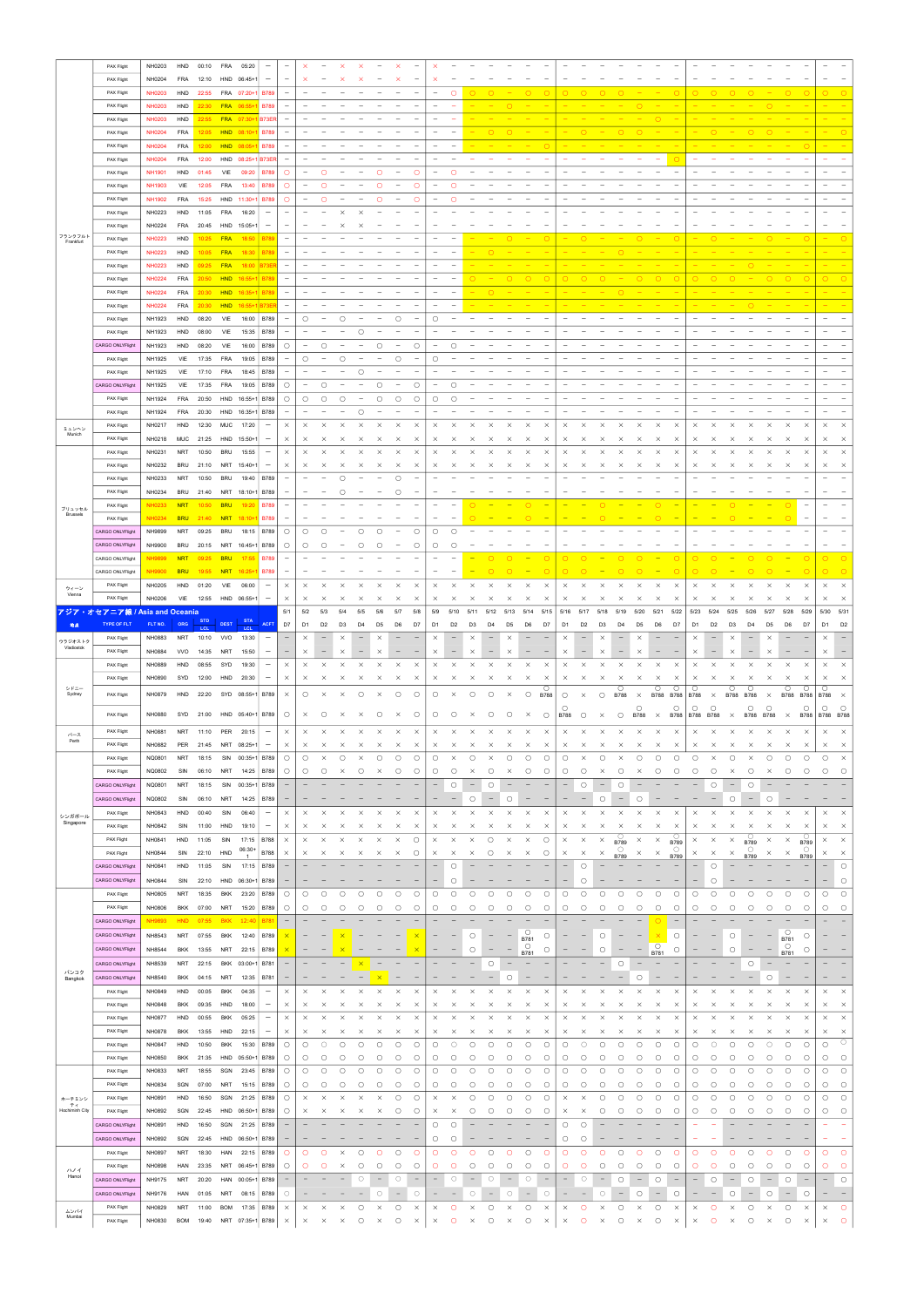|                       | PAX Flight                                                  | NH0203           | HND        | 00:10          | FRA         | 05:20                  | $\overline{\phantom{m}}$        |                                 |                          |                          |                     | $\times$              |                          | $\times$                 |                                 |                                 |                                        |                                                        |                          |                            |                        |                        |                          |                                                    |                          |                          |                                    |                          |                          |                      |                          |                                 |                          |                                 |                                                      |
|-----------------------|-------------------------------------------------------------|------------------|------------|----------------|-------------|------------------------|---------------------------------|---------------------------------|--------------------------|--------------------------|---------------------|-----------------------|--------------------------|--------------------------|---------------------------------|---------------------------------|----------------------------------------|--------------------------------------------------------|--------------------------|----------------------------|------------------------|------------------------|--------------------------|----------------------------------------------------|--------------------------|--------------------------|------------------------------------|--------------------------|--------------------------|----------------------|--------------------------|---------------------------------|--------------------------|---------------------------------|------------------------------------------------------|
|                       | PAX Flight                                                  | NH0204           | FRA        | 12:10          |             | HND 06:45+1            | $\overline{\phantom{m}}$        |                                 | $\times$                 |                          |                     |                       |                          |                          |                                 |                                 |                                        |                                                        |                          |                            |                        |                        |                          |                                                    |                          |                          |                                    |                          |                          |                      |                          |                                 |                          |                                 |                                                      |
|                       | PAX Flight                                                  | <b>NH0203</b>    | HND        | 22:55          |             | FRA 07:20+1            | <b>B789</b>                     | $\hspace{0.1mm}-\hspace{0.1mm}$ |                          |                          |                     |                       |                          |                          |                                 | $\hspace{0.1mm}-\hspace{0.1mm}$ | $\circ$                                |                                                        |                          | $\circ$                    | $\circ$                | $\circ$                |                          | $\circ$                                            |                          |                          | $\circ$                            | $\circ$                  |                          |                      |                          |                                 | $\circ$                  | $\circ$                         | $\circ$<br>$\circ$                                   |
|                       |                                                             |                  | HND        |                |             |                        |                                 |                                 |                          |                          |                     |                       |                          |                          |                                 |                                 |                                        |                                                        | $\circ$                  |                            |                        |                        |                          |                                                    | $\circ$                  |                          |                                    |                          |                          |                      |                          |                                 |                          |                                 |                                                      |
|                       | PAX Flight                                                  | NH0203           |            | 22:30          |             | FRA 06:55+1            | <b>B789</b>                     | $\hspace{0.1mm}-\hspace{0.1mm}$ |                          |                          |                     |                       |                          |                          |                                 |                                 |                                        |                                                        |                          |                            |                        |                        |                          |                                                    |                          |                          |                                    |                          |                          |                      |                          |                                 |                          |                                 |                                                      |
|                       | PAX Flight                                                  | <b>NH0203</b>    | HND        | 22:55          |             | FRA 07:30+1            | <b>B73ER</b>                    | $\overline{\phantom{a}}$        |                          |                          |                     |                       |                          |                          |                                 |                                 |                                        |                                                        |                          |                            |                        |                        |                          |                                                    |                          | $\circ$                  |                                    |                          |                          |                      |                          |                                 |                          |                                 |                                                      |
|                       | PAX Flight                                                  | <b>NH0204</b>    | FRA        | 12:05          |             | HND 08:10+1            | <b>B789</b>                     | $\overline{\phantom{a}}$        |                          |                          |                     |                       |                          |                          |                                 |                                 | $\qquad \qquad -$                      |                                                        |                          |                            |                        |                        |                          |                                                    |                          |                          |                                    |                          |                          |                      |                          |                                 |                          |                                 |                                                      |
|                       | PAX Flight                                                  | <b>NH0204</b>    | FRA        | 12:00          |             | HND 08:05+1            | <b>B789</b>                     | $\overline{\phantom{a}}$        |                          |                          |                     |                       |                          |                          |                                 |                                 |                                        |                                                        |                          |                            |                        |                        |                          |                                                    |                          |                          |                                    |                          |                          |                      |                          |                                 |                          | $\circ$                         |                                                      |
|                       | PAX Flight                                                  | <b>NH0204</b>    | FRA        | 12:00          |             | HND 08:25+1            | <b>B73ER</b>                    | $\overline{\phantom{a}}$        |                          |                          |                     |                       |                          |                          |                                 |                                 |                                        |                                                        |                          |                            |                        |                        |                          |                                                    |                          |                          |                                    |                          |                          |                      |                          |                                 |                          |                                 |                                                      |
|                       | PAX Flight                                                  | <b>NH1901</b>    | HND        | 01:45          | VIE         | 09:20                  | <b>B789</b>                     | $\circ$                         | $\qquad \qquad -$        | $\circ$                  |                     |                       | Ο                        |                          | $\circ$                         |                                 | $\circ$                                |                                                        |                          |                            |                        |                        |                          |                                                    |                          |                          |                                    |                          |                          |                      |                          |                                 |                          |                                 |                                                      |
|                       | PAX Flight                                                  | <b>NH1903</b>    | VIE        | 12:05          | FRA         | 13:40                  | <b>B789</b>                     | $\circ$                         | $\qquad \qquad -$        | $\circ$                  |                     |                       | $\circ$                  |                          | $\circ$                         |                                 | O                                      |                                                        |                          |                            |                        |                        |                          |                                                    |                          |                          |                                    |                          |                          |                      |                          |                                 |                          |                                 |                                                      |
|                       | PAX Flight                                                  | <b>NH1902</b>    | FRA        | 15:25          |             | HND 11:30+1            | <b>B789</b>                     | $\circ$                         | $\overline{\phantom{a}}$ | $\circ$                  |                     |                       | $\circ$                  |                          | $\circ$                         |                                 | $\circ$                                |                                                        |                          |                            |                        |                        |                          |                                                    |                          |                          |                                    |                          |                          |                      |                          |                                 |                          |                                 |                                                      |
|                       | PAX Flight                                                  | NH0223           | HND        | 11:05          | FRA         | 16:20                  | $\overline{\phantom{m}}$        |                                 |                          |                          | $\times$            | $\times$              |                          |                          |                                 |                                 |                                        |                                                        |                          |                            |                        |                        |                          |                                                    |                          |                          |                                    |                          |                          |                      |                          |                                 |                          |                                 |                                                      |
|                       | PAX Flight                                                  | NH0224           | FRA        | 20:45          |             | HND 15:05+1            | $\overline{\phantom{m}}$        |                                 |                          |                          |                     |                       |                          |                          |                                 |                                 |                                        |                                                        |                          |                            |                        |                        |                          |                                                    |                          |                          |                                    |                          |                          |                      |                          |                                 |                          |                                 |                                                      |
| フランクフルト<br>Frankfurt  | PAX Flight                                                  | <b>NH0223</b>    | HND        | 10:25          | <b>FRA</b>  | 18:50                  | <b>B789</b>                     | $\overline{\phantom{a}}$        |                          |                          |                     |                       |                          |                          |                                 |                                 |                                        |                                                        |                          |                            | $\circ$                |                        |                          |                                                    |                          |                          |                                    |                          |                          |                      |                          |                                 |                          | $\circ$                         |                                                      |
|                       | PAX Flight                                                  | <b>NH0223</b>    | HND        | 10:05 FRA      |             | 18:30                  | <b>B789</b>                     | $\overline{\phantom{a}}$        |                          |                          |                     |                       |                          |                          |                                 |                                 |                                        |                                                        |                          |                            |                        |                        |                          |                                                    |                          |                          |                                    |                          |                          |                      |                          |                                 |                          |                                 |                                                      |
|                       | PAX Flight                                                  | <b>NH0223</b>    | HND        | 09:25 FRA      |             | 18:00                  |                                 | $\overline{\phantom{a}}$        |                          |                          |                     |                       |                          |                          |                                 |                                 |                                        |                                                        |                          |                            |                        |                        |                          |                                                    |                          |                          |                                    |                          |                          |                      |                          |                                 |                          |                                 |                                                      |
|                       | PAX Flight                                                  | <b>NH0224</b>    | FRA        | 20:50 HND      |             | $16:55+1$              | <b>B78</b>                      | $\overline{\phantom{a}}$        |                          |                          |                     |                       |                          |                          |                                 |                                 |                                        |                                                        |                          |                            |                        |                        |                          |                                                    |                          |                          |                                    |                          |                          |                      |                          |                                 | $\circ$                  |                                 | $\circ$                                              |
|                       |                                                             |                  | FRA        |                |             | 20:30 HND 16:35+1      | <b>B78</b>                      | $\overline{\phantom{a}}$        |                          |                          |                     |                       |                          |                          |                                 |                                 | $\overline{\phantom{0}}$               |                                                        |                          |                            |                        |                        |                          |                                                    |                          |                          |                                    |                          |                          |                      |                          |                                 |                          |                                 |                                                      |
|                       | PAX Flight                                                  | <b>NH0224</b>    |            |                |             |                        |                                 |                                 |                          |                          |                     |                       |                          |                          |                                 |                                 |                                        |                                                        |                          |                            |                        |                        |                          |                                                    |                          |                          |                                    |                          |                          |                      |                          |                                 |                          |                                 |                                                      |
|                       | PAX Flight                                                  | <b>NH0224</b>    | FRA        |                | 20:30 HND   | $16:55+1$              |                                 | $\overline{\phantom{a}}$        |                          |                          |                     |                       |                          |                          |                                 |                                 |                                        |                                                        |                          |                            |                        |                        |                          |                                                    |                          |                          |                                    |                          |                          |                      |                          |                                 |                          |                                 |                                                      |
|                       | PAX Flight                                                  | NH1923           | HND        | 08:20          | VIE         | 16:00                  | <b>B789</b>                     | $\overline{\phantom{a}}$        | $\circ$                  |                          | $\circ$             |                       |                          | $\circ$                  |                                 | O                               |                                        |                                                        |                          |                            |                        |                        |                          |                                                    |                          |                          |                                    |                          |                          |                      |                          |                                 |                          |                                 |                                                      |
|                       | PAX Flight                                                  | NH1923           | HND        | 08:00          | VIE         | 15:35                  | B789                            | $\overline{\phantom{0}}$        |                          |                          |                     | $\circ$               |                          |                          |                                 |                                 |                                        |                                                        |                          |                            |                        |                        |                          |                                                    |                          |                          |                                    |                          |                          |                      |                          |                                 |                          |                                 |                                                      |
|                       | CARGO ONLYFlight                                            | NH1923           | HND        | 08:20          | VIE         | 16:00                  | B789                            | $\circ$                         | $\qquad \qquad -$        | $\circ$                  |                     |                       | $\circ$                  | $\qquad \qquad -$        | $\circ$                         |                                 | O                                      |                                                        |                          |                            |                        |                        |                          |                                                    |                          |                          |                                    |                          |                          |                      |                          |                                 |                          |                                 |                                                      |
|                       | PAX Flight                                                  | NH1925           | VIE        | 17:35          | FRA         | 19:05                  | B789                            | $\overline{\phantom{a}}$        | $\circ$                  |                          | $\circ$             |                       |                          | $\circ$                  |                                 | О                               |                                        |                                                        |                          |                            |                        |                        |                          |                                                    |                          |                          |                                    |                          |                          |                      |                          |                                 |                          |                                 |                                                      |
|                       | PAX Flight                                                  | NH1925           | VIE        | 17:10          | <b>FRA</b>  | 18:45                  | <b>B789</b>                     | $\overline{\phantom{0}}$        |                          |                          |                     | $\circ$               |                          |                          |                                 |                                 |                                        |                                                        |                          |                            |                        |                        |                          |                                                    |                          |                          |                                    |                          |                          |                      |                          |                                 |                          |                                 |                                                      |
|                       | CARGO ONLYFlight                                            | NH1925           | VIE        | 17:35          | <b>FRA</b>  | 19:05                  | <b>B789</b>                     | $\circ$                         | $\overline{\phantom{a}}$ | $\circ$                  |                     |                       | $\circ$                  | $\overline{\phantom{m}}$ | $\circ$                         |                                 | $\circ$                                |                                                        |                          |                            |                        |                        |                          |                                                    |                          |                          |                                    |                          |                          |                      |                          |                                 |                          |                                 |                                                      |
|                       | PAX Flight                                                  | NH1924           |            | FRA 20:50      |             | HND 16:55+1            | <b>B789</b>                     | $\circ$                         | $\circ$                  | $\circ$                  | $\circ$             |                       | Ο                        | $\circ$                  | $\circ$                         | $\circ$                         | $\circ$                                |                                                        |                          |                            |                        |                        |                          |                                                    |                          |                          |                                    |                          |                          |                      |                          |                                 |                          |                                 | $\overline{\phantom{0}}$                             |
|                       | PAX Flight                                                  | NH1924           | FRA        | 20:30          |             | HND 16:35+1            | <b>B789</b>                     | $\overline{\phantom{a}}$        |                          |                          |                     | $\circ$               |                          |                          |                                 |                                 |                                        |                                                        |                          |                            |                        |                        |                          |                                                    |                          |                          |                                    |                          |                          |                      |                          |                                 |                          |                                 | $\qquad \qquad -$                                    |
|                       | PAX Flight                                                  | NH0217           | HND        | 12:30          | MUC         | 17:20                  | $\overline{\phantom{m}}$        | $\times$                        | $\times$                 | $\times$                 | $\times$            | $\times$              | $\times$                 | $\times$                 | $\times$                        | $\times$                        | $\times$                               | $\times$<br>$\times$                                   | $\times$                 | $\times$                   | $\times$               | $\times$               | $\times$                 | $\times$<br>$\times$                               | $\times$                 | $\times$                 | $\times$                           | $\times$                 | $\times$                 | $\times$             | $\times$                 | $\times$                        | $\times$                 | $\times$                        | $\times$<br>$\times$                                 |
| ミュンヘン<br>Munich       | PAX Flight                                                  | NH0218           |            | MUC 21:25      |             | HND 15:50+1            | $\hspace{0.1mm}-\hspace{0.1mm}$ | $\times$                        | $\times$                 | $\mathsf{X}$             | $\times$            | $\times$              | x                        | $\times$                 | $\times$                        | ×                               | $\times$                               | $\times$<br>X                                          | ×                        | $\times$                   | $\times$               | $\times$               | $\times$                 | $\mathsf{X}$<br>$\times$                           | $\times$                 | ×                        | $\times$                           | $\times$                 | ×                        | $\times$             | $\times$                 | $\times$                        | ×                        | $\times$                        | $\times$<br>$\times$                                 |
|                       | PAX Flight                                                  | NH0231           | NRT        | 10:50          | BRU         | 15:55                  | $\overline{\phantom{m}}$        | $\times$                        | $\times$                 | $\times$                 | $\times$            | $\times$              | $\times$                 | $\times$                 | $\times$                        | $\times$                        | $\times$                               | $\times$<br>$\times$                                   | $\times$                 | $\times$                   | $\times$               | $\times$               | $\times$                 | $\times$<br>$\times$                               | $\times$                 | $\times$                 | $\times$                           | $\times$                 | $\times$                 | $\times$             | $\times$                 | $\times$                        | $\times$                 | $\times$                        | $\times$<br>$\times$                                 |
|                       | PAX Flight                                                  | NH0232           | BRU        | 21:10          |             | NRT 15:40+1            | $\hspace{0.1mm}-\hspace{0.1mm}$ | $\times$                        | $\times$                 | $\times$                 | $\times$            | $\times$              | $\times$                 | $\times$                 | $\times$                        | ×                               | $\times$                               | $\times$<br>$\times$                                   | ×                        | $\times$                   | $\times$               | $\times$               | $\times$                 | $\times$<br>$\times$                               | $\times$                 | ×                        | $\times$                           | $\times$                 | $\times$                 | $\times$             | $\times$                 | $\times$                        | ×                        | $\times$                        | $\times$<br>$\times$                                 |
|                       | PAX Flight                                                  | NH0233           | NRT        | 10:50          | BRU         | 19:40                  | B789                            | $\overline{\phantom{a}}$        |                          |                          | $\circ$             |                       |                          | $\circ$                  |                                 |                                 |                                        |                                                        |                          |                            |                        |                        |                          |                                                    |                          |                          |                                    |                          |                          |                      |                          |                                 |                          |                                 |                                                      |
|                       |                                                             | NH0234           | BRU        | 21:40          |             |                        |                                 |                                 |                          |                          |                     |                       |                          | $\circ$                  |                                 |                                 |                                        |                                                        |                          |                            |                        |                        |                          |                                                    |                          |                          |                                    |                          |                          |                      |                          |                                 |                          |                                 |                                                      |
|                       | PAX Flight                                                  |                  |            |                |             | NRT 18:10+1 B789       |                                 |                                 |                          |                          | $\circ$             |                       |                          |                          |                                 |                                 |                                        |                                                        |                          | ∩                          |                        |                        |                          |                                                    |                          |                          |                                    |                          |                          |                      |                          |                                 |                          | $\overline{\phantom{a}}$        |                                                      |
| ブリュッセル<br>Brussels    | PAX Flight                                                  | <b>NH0233</b>    | <b>NRT</b> | 10:50          | <b>BRU</b>  | 19:20                  | <b>B789</b>                     |                                 |                          |                          |                     |                       |                          |                          |                                 |                                 |                                        |                                                        |                          |                            |                        |                        |                          |                                                    |                          |                          |                                    |                          |                          |                      |                          |                                 | $\circ$                  |                                 |                                                      |
|                       | PAX Flight                                                  | <b>NH0234</b>    | <b>BRU</b> | 21:40 NRT      |             | $18:10+1$              | <b>B789</b>                     |                                 |                          |                          |                     |                       |                          |                          |                                 |                                 |                                        |                                                        |                          | $\circ$                    |                        |                        |                          |                                                    |                          |                          |                                    |                          |                          |                      |                          |                                 | $\circ$                  | $\hspace{0.1mm}-\hspace{0.1mm}$ |                                                      |
|                       | CARGO ONLYFlight                                            | NH9899           | NRT        | 09:25          | BRU         | 18:15   B789           |                                 | $\circ$                         | $\circ$                  | $\circ$                  |                     | $\circ$               | Ο                        |                          | $\circ$                         | O                               | $\circ$                                |                                                        |                          |                            |                        |                        |                          |                                                    |                          |                          |                                    |                          |                          |                      |                          |                                 |                          |                                 |                                                      |
|                       | CARGO ONLYFlight                                            | NH9900           | <b>BRU</b> |                |             | 20:15 NRT 16:45+1 B789 |                                 | $\bigcirc$                      | $\bigcirc$               |                          |                     |                       |                          |                          | $\bigcirc$                      | ∩                               |                                        |                                                        |                          |                            |                        |                        |                          |                                                    |                          |                          |                                    |                          |                          |                      |                          |                                 |                          |                                 |                                                      |
|                       | CARGO ONLYFlight                                            |                  |            |                | <b>BRU</b>  | 17:55                  | <b>B789</b>                     |                                 |                          |                          |                     |                       |                          |                          |                                 |                                 |                                        |                                                        |                          |                            |                        |                        |                          |                                                    |                          |                          |                                    |                          |                          |                      |                          |                                 |                          |                                 |                                                      |
|                       | CARGO ONLYFlight                                            | <b>NH9900</b>    | <b>BRU</b> | 19:55          | <b>NRT</b>  | $16:25+$               | <b>B789</b>                     |                                 |                          |                          |                     |                       |                          |                          |                                 |                                 |                                        |                                                        |                          |                            |                        |                        |                          |                                                    |                          |                          |                                    |                          |                          |                      |                          |                                 |                          | €                               | $\circ$<br>$\circ$                                   |
| ウィーン<br>Vienna        | PAX Flight                                                  | NH0205           | HND        | 01:20          | VIE         | 06:00                  | $\overline{\phantom{m}}$        | $\times$                        | $\times$                 | $\times$                 |                     |                       |                          | $\times$                 | ×                               | $\times$                        | $\times$                               | $\times$<br>$\times$                                   | $\times$                 | $\times$                   | $\times$               | $\times$               | $\times$                 | $\times$<br>$\times$                               | $\times$                 | $\times$                 | $\times$                           | $\times$                 | $\times$                 | $\times$             | $\times$                 | $\times$                        | $\times$                 | $\times$                        | $\times$<br>$\times$                                 |
|                       | PAX Flight                                                  | NH0206           | VIE        | 12:55          |             | HND 06:55+1            | $\overline{\phantom{m}}$        | $\times$                        | $\times$                 | $\times$                 | $\times$            | $\times$              |                          | ×                        | $\times$                        | $\times$                        | $\times$                               | $\times$<br>$\times$                                   | ×                        | $\times$                   | $\times$               | $\times$               | $\times$                 | $\times$<br>$\times$                               | $\times$                 | ×                        | $\times$                           | $\times$                 | $\times$                 | $\times$             | $\times$                 | $\times$                        | $\times$                 | $\times$                        | $\times$<br>$\times$                                 |
|                       | アジア・オセアニア線 / Asia an <u>d Oceania</u><br><b>TYPE OF FLT</b> | FLT NO.          | ORG        | <b>STD</b>     | <b>DEST</b> | <b>STA</b>             | <b>ACFT</b>                     | 5/1<br>D7                       | 5/2<br>D <sub>1</sub>    | 5/3                      | 5/4                 | 5/5<br>D <sub>4</sub> | 5/6                      | 5/7                      | 5/8                             | 5/9<br>D <sub>1</sub>           | 5/10                                   | 5/12<br>5/11                                           | 5/13                     | 5/14                       | 5/15                   | 5/16<br>D <sub>1</sub> | 5/17                     | 5/19<br>5/18                                       | 5/20                     | 5/21                     | 5/22                               | 5/23                     | 5/24                     | 5/25                 | 5/26                     | 5/27                            | 5/28                     | 5/29                            | 5/30<br>5/31<br>D <sub>1</sub>                       |
| 地点                    | PAX Flight                                                  |                  |            | LCL            |             | LCL                    | $\qquad \qquad -$               | $\overline{\phantom{0}}$        |                          | D <sub>2</sub>           | D <sub>3</sub>      |                       | D <sub>5</sub>           | D <sub>6</sub>           | D7                              |                                 | D <sub>2</sub>                         | D <sub>3</sub><br>D <sub>4</sub>                       | D <sub>5</sub>           | D6                         | D7                     |                        | D <sub>2</sub>           | D <sub>3</sub><br>D <sub>4</sub>                   | D <sub>5</sub>           | D6                       | D7                                 | D <sub>1</sub>           | D <sub>2</sub>           | D <sub>3</sub>       | D <sub>4</sub>           | D <sub>5</sub>                  | D6                       | D7                              | D <sub>2</sub>                                       |
|                       |                                                             | NH0883           | <b>NRT</b> | 10:10          | <b>VVO</b>  | 13:30                  |                                 |                                 | $\times$                 | $\overline{\phantom{a}}$ | $\times$            |                       | ×                        |                          |                                 | $\times$                        | $\qquad \qquad -$<br>$\qquad \qquad -$ | $\times$                                               | $\times$                 |                            |                        | $\times$<br>$\times$   |                          | $\times$                                           | $\times$                 |                          |                                    | $\times$                 |                          | $\times$             | $\qquad \qquad -$        | $\times$                        |                          |                                 | $\times$                                             |
| ウラジオストク<br>Vladiostok |                                                             |                  |            |                |             |                        |                                 |                                 |                          |                          |                     |                       |                          |                          |                                 |                                 |                                        |                                                        |                          |                            |                        |                        |                          |                                                    | $\times$                 |                          |                                    |                          |                          |                      |                          |                                 |                          |                                 |                                                      |
|                       | PAX Flight                                                  | NH0884           | <b>VVO</b> | 14:35          | NRT         | 15:50                  | $\overline{\phantom{m}}$        |                                 | $\times$                 |                          | $\times$            |                       | ×                        |                          |                                 | $\times$                        |                                        | $\times$                                               | ×                        |                            |                        |                        |                          | $\times$                                           |                          |                          |                                    | $\times$                 |                          | $\times$             |                          | $\times$                        |                          |                                 | $\times$                                             |
|                       | PAX Flight                                                  | NH0889           | HND        | 08:55          | SYD         | 19:30                  | $\overline{\phantom{m}}$        | $\times$                        | $\times$                 | $\times$                 | $\times$            | $\times$              | ×                        | $\times$                 | $\times$                        | $\times$                        | $\times$                               | $\times$<br>$\times$                                   | $\times$                 | $\times$                   | $\times$               | $\times$               | $\times$                 | $\times$<br>$\times$                               | $\times$                 | ×                        | $\times$                           | $\times$                 | $\times$                 | $\times$             | $\times$                 | $\times$                        | $\times$                 | $\times$                        | $\times$<br>$\times$                                 |
|                       | PAX Flight                                                  | NH0890           | SYD        | 12:00          | HND         | 20:30                  | $\overline{\phantom{m}}$        | $\times$                        | $\times$                 | $\times$                 | $\times$            | $\times$              | ×                        | $\times$                 | $\times$                        | $\times$                        | ×                                      | $\times$<br>$\times$                                   | $\times$                 | $\times$                   | $\times$               | $\times$               | $\times$                 | $\times$<br>$\times$                               | $\times$                 | $\times$                 | $\times$                           | $\times$                 | $\times$                 |                      | $\times$                 | $\times$                        | ×                        | $\times$                        | X<br>$\times$                                        |
| シドニー<br>Sydney        | PAX Flight                                                  | NH0879           | HND        | 22:20          |             | SYD 08:55+1            | <b>B789</b>                     | $\times$                        | $\circ$                  | $\times$                 | $\times$            | $\circ$               | $\times$                 | $\circ$                  | $\circ$                         | О                               | $\times$                               | $\circ$<br>$\circ$                                     | $\times$                 | $\circ$                    | $\circ$<br><b>B788</b> | $\circ$                | $\times$                 | $\circ$<br>$\circ$<br><b>B788</b>                  | $\times$                 | $\circ$<br>B788 B788     | O                                  | O<br><b>B788</b>         | $\times$                 | О                    | $\circ$<br>B788 B788     | $\times$                        | Ο.<br><b>B788</b>        | $\circ$<br><b>B788</b>          | $\circ$<br><b>B788</b><br>$\mathsf{X}$               |
|                       |                                                             |                  |            |                |             |                        |                                 |                                 |                          |                          |                     |                       |                          |                          |                                 |                                 |                                        |                                                        |                          |                            |                        | ()                     |                          |                                                    | $\circ$                  |                          | $\circ$                            | $\circ$                  | $\circ$                  |                      | $\circ$                  | $\circ$                         |                          | $\circ$                         | $\circ$<br>$\circ$                                   |
|                       | PAX Flight                                                  | NH0880           | SYD        | 21:00          |             | HND 05:40+1            | <b>B789</b>                     | $\circ$                         | $\times$                 | $\circ$                  | $\times$            | ×                     | ∩                        | $\times$                 | $\circ$                         | О                               | $\circ$                                | $\circ$<br>$\times$                                    | $\circ$                  | $\times$                   | $\circ$                | <b>B788</b>            | $\circ$                  | $\circ$<br>$\times$                                | <b>B788</b>              | $\times$                 | <b>B788</b>                        | B788 B788                |                          | $\times$             | <b>B788</b>              | <b>B788</b>                     | $\times$                 | <b>B788</b>                     | B788 B788                                            |
| パース                   | PAX Flight                                                  | NH0881           | <b>NRT</b> | 11:10          | PER         | 20:15                  | $\overline{\phantom{m}}$        | $\times$                        | $\times$                 | $\times$                 | $\times$            | $\times$              | $\times$                 | $\times$                 | $\times$                        | $\times$                        | $\times$                               | $\times$<br>$\times$                                   | $\times$                 | $\times$                   | $\times$               | $\times$               | $\times$                 | $\times$<br>$\times$                               | $\times$                 | $\times$                 | $\times$                           | $\times$                 | $\times$                 | $\times$             | $\times$                 | $\times$                        | $\times$                 | $\times$                        | $\times$<br>$\times$                                 |
| Perth                 | PAX Flight                                                  | NH0882           | PER        | 21:45          | NRT         | 08:25+1                | $\qquad \qquad -$               | $\times$                        | $\times$                 | $\times$                 | $\times$            | $\times$              | $\times$                 | ×                        | $\times$                        | $\times$                        | $\times$                               | $\times$<br>$\times$                                   | ×                        | $\times$                   | $\times$               | $\times$               | $\times$                 | $\times$<br>$\times$                               | ×                        | ×                        | $\times$                           | $\times$                 | $\times$                 | $\times$             | $\times$                 | $\times$                        | ×                        | $\times$                        | $\times$<br>$\times$                                 |
|                       | PAX Flight                                                  | NQ0801           | <b>NRT</b> | 18:15          | SIN         | $00:35+1$              | <b>B789</b>                     | $\circ$                         | $\circ$                  | $\times$                 | $\circ$             | $\times$              | $\circ$                  | $\circ$                  | O                               | О                               | $\times$                               | О<br>$\times$                                          | Ο                        | $\circ$                    | $\circ$                | $\circ$                | $\times$                 | $\circ$<br>$\times$                                | $\circ$                  | O                        | $\circ$                            | $\circ$                  | $\times$                 | $\circ$              | $\times$                 | $\circ$                         | Ο                        | $\circ$                         | $\circ$<br>$\times$                                  |
|                       | PAX Flight                                                  | NQ0802           | SIN        | 06:10          | NRT         | 14:25                  | <b>B789</b>                     | $\circ$                         | $\circ$                  | $\circ$                  | $\times$            | О                     | $\times$                 | $\circ$                  | O                               | О                               | О                                      | $\times$<br>$\circ$                                    | ×                        | $\circ$                    | $\circ$                | O                      | $\circ$                  | $\times$<br>$\circ$                                | $\times$                 | ∩                        | $\circ$                            | $\circ$                  | O                        | $\times$             | О                        | $\times$                        | О                        | О                               | $\circ$<br>$\circ$                                   |
|                       | CARGO ONLYFlight                                            | NQ0801           | NRT        | 18:15          | SIN         | $00:35+1$              | B789                            |                                 |                          |                          |                     |                       |                          |                          |                                 |                                 | $\circ$                                | $\circ$<br>$\overline{\phantom{0}}$                    |                          |                            |                        |                        | $\circ$                  | $\circ$                                            |                          |                          |                                    |                          | О                        |                      | $\circ$                  |                                 |                          |                                 |                                                      |
|                       | CARGO ONLYFlight                                            | NQ0802           | SIN        | 06:10          | NRT         | 14:25                  | <b>B789</b>                     |                                 |                          |                          |                     |                       |                          |                          |                                 |                                 |                                        | $\circ$                                                | О                        |                            |                        |                        |                          | $\circ$                                            | C                        |                          |                                    |                          |                          | $\circ$              |                          |                                 |                          |                                 |                                                      |
|                       | PAX Flight                                                  | NH0843           | HND        | 00:40          | SIN         | 06:40                  | $\qquad \qquad -$               | $\times$                        | $\times$                 | $\times$                 | $\times$            |                       |                          | $\times$                 | $\times$                        | ×                               | $\times$                               | $\times$<br>$\times$                                   | ×                        | $\times$                   | $\times$               | $\times$               | $\times$                 | $\times$<br>$\times$                               | $\times$                 |                          | $\times$                           | $\times$                 | $\times$                 |                      | $\times$                 |                                 | $\times$                 | $\times$                        | $\times$<br>$\times$                                 |
| シンガポール<br>Singapore   | <b>PAX Flight</b>                                           | NH0842           | SIN        | 11:00          | HND         | 19:10                  | $\qquad \qquad -$               | $\times$                        | $\times$                 |                          |                     |                       |                          | $\times$                 | $\times$                        | $\times$                        |                                        |                                                        |                          | $\times$                   | $\times$               | $\times$               | $\times$                 | $\times$<br>$\times$                               | $\times$                 | ×                        |                                    | ×                        | ×                        | ×                    | $\times$                 |                                 | ×                        |                                 | $\times$                                             |
|                       | <b>PAX Flight</b>                                           |                  |            |                |             |                        |                                 |                                 | $\times$                 |                          |                     |                       | $\times$                 |                          |                                 | $\times$                        | $\times$                               | $\times$                                               | $\times$                 |                            |                        |                        |                          |                                                    |                          |                          | $\times$<br>O                      |                          |                          |                      | O                        |                                 |                          | $\times$<br>$\circ$             | $\times$                                             |
|                       | PAX Flight                                                  | NH0841<br>NH0844 | HND<br>SIN | 11:05<br>22:10 | SIN<br>HND  | 17:15<br>$06:30+$      | <b>B788</b><br><b>B788</b>      | $\times$<br>$\times$            | $\times$                 | X                        | X                   | $\times$              | ×                        | ×<br>$\times$            | $\circ$<br>$\circ$              | $\times$                        | $\times$                               | $\circ$<br>С<br>×                                      | $\times$                 | $\times$<br>$\times$       | $\circ$<br>$\circ$     | $\times$<br>$\times$   | $\times$<br>$\times$     | $\bigcirc$ B789<br>$\times$<br>$\circ$<br>$\times$ | $\times$                 | $\times$                 | <b>B789</b>                        | ×<br>$\times$            | $\times$<br>$\times$     | $\times$<br>$\times$ | <b>B789</b><br>$\circ$   | $\times$<br>$\times$            | $\times$                 | <b>B789</b>                     | $\times$<br>$\times$<br>$\times$<br>$\times$         |
|                       | CARGO ONLYFlight                                            | NH0841           | HND        | 11:05          | SIN         | 17:15                  | <b>B789</b>                     |                                 |                          |                          |                     |                       |                          |                          |                                 |                                 | $\circ$                                |                                                        |                          |                            |                        |                        | C                        | <b>B789</b>                                        | $\times$                 | $\times$                 | $\underset{\text{B789}}{\bigcirc}$ |                          | С                        |                      | <b>B789</b>              |                                 | $\mathsf{X}$             | $\bigcirc$ B789                 | $\circ$                                              |
|                       |                                                             |                  |            |                |             |                        |                                 |                                 |                          |                          |                     |                       |                          |                          |                                 |                                 |                                        |                                                        |                          |                            |                        |                        |                          |                                                    |                          |                          |                                    |                          |                          |                      |                          |                                 |                          |                                 |                                                      |
|                       | CARGO ONLYFlight                                            | NH0844           | SIN        | 22:10          |             | HND 06:30+1            | <b>B789</b>                     |                                 |                          |                          |                     |                       |                          |                          |                                 |                                 | $\circ$                                |                                                        |                          |                            |                        |                        | O                        |                                                    |                          |                          |                                    |                          | ∩                        |                      |                          |                                 |                          |                                 | $\circ$                                              |
|                       | PAX Flight                                                  | NH0805           | <b>NRT</b> | 18:35          | <b>BKK</b>  | 23:20                  | <b>B789</b>                     | $\circ$                         | $\circ$                  | $\circ$                  | $\circ$             | C                     | C                        | $\circ$                  | $\circ$                         | $\circ$                         | $\circ$                                | О<br>∩                                                 | Ο                        | $\circ$                    | $\circ$                | $\circ$                | $\circ$                  | $\circ$<br>$\circ$                                 | $\circ$                  | $\circ$                  | $\circ$                            | $\circ$                  | O                        | $\circ$              | Ο                        | ∩                               | $\circ$                  | $\circ$                         | $\circ$<br>$\circ$                                   |
|                       | PAX Flight                                                  | NH0806           | BKK        | 07:00          | NRT         | 15:20                  | <b>B789</b>                     | $\circ$                         | $\circ$                  | $\circ$                  | $\circ$             | O                     | $\circ$                  | $\circ$                  | $\circ$                         | $\circ$                         | $\circ$                                | $\circ$<br>$\circ$                                     | $\circ$                  | $\circ$                    | $\circ$                | $\circ$                | $\circ$                  | $\circ$<br>$\circ$                                 | $\circ$                  | $\circ$                  | $\circ$                            | $\circ$                  | О                        | O                    | $\circ$                  | $\circ$                         | О                        | $\circ$                         | $\circ$<br>$\circ$                                   |
|                       | CARGO ONLYFlight                                            | <b>NH9893</b>    | <b>HND</b> | 07:55          | <b>BKK</b>  | 12:40                  | <b>B781</b>                     |                                 |                          |                          |                     |                       |                          |                          |                                 |                                 |                                        |                                                        |                          |                            |                        |                        |                          |                                                    |                          |                          |                                    |                          |                          |                      |                          |                                 |                          |                                 |                                                      |
|                       | CARGO ONLYFlight                                            | NH8543           | <b>NRT</b> | 07:55          | <b>BKK</b>  | 12:40                  | <b>B789</b>                     |                                 |                          |                          |                     |                       |                          |                          |                                 |                                 |                                        | C                                                      |                          | $\bigcirc$ <sub>B781</sub> | $\circ$                |                        |                          | С                                                  |                          |                          | O                                  |                          |                          | O                    |                          |                                 | $\circ$<br>B781          | $\circ$                         |                                                      |
|                       | CARGO ONLYFlight                                            | NH8544           | BKK        | 13:55          | NRT         | 22:15                  | B789                            | $\mathsf{\times}$               |                          |                          |                     |                       |                          |                          |                                 |                                 |                                        | $\circ$                                                | -                        | $\bigcirc$<br>B781         | $\circ$                |                        |                          | $\circ$                                            |                          | $\circ$<br><b>B781</b>   | $\circ$                            |                          |                          | О                    |                          |                                 | $\circ$<br>B781          | $\circ$                         |                                                      |
|                       | CARGO ONLYFlight                                            | NH8539           | <b>NRT</b> | 22:15          | <b>BKK</b>  | $03:00+1$              | B781                            |                                 |                          |                          |                     |                       |                          |                          |                                 |                                 |                                        | ∩                                                      |                          |                            |                        |                        |                          | $\circ$                                            |                          |                          |                                    |                          |                          |                      | О                        |                                 |                          |                                 |                                                      |
| バンコク<br>Bangkok       | CARGO ONLYFlight                                            | NH8540           | BKK        | 04:15          | NRT         | 12:35                  | B781                            |                                 |                          |                          |                     |                       |                          |                          |                                 |                                 |                                        |                                                        | ∩                        |                            |                        |                        |                          |                                                    | C                        |                          |                                    |                          |                          |                      |                          | ∩                               |                          |                                 |                                                      |
|                       | PAX Flight                                                  | NH0849           | HND        | 00:05          | <b>BKK</b>  | 04:35                  |                                 | $\times$                        | $\times$                 |                          | $\times$            | $\times$              | $\times$                 | $\times$                 | $\times$                        |                                 |                                        | $\times$<br>$\times$                                   | $\times$                 | $\times$                   | $\times$               |                        |                          | $\times$<br>$\times$                               | $\times$                 | $\times$                 | $\times$                           | $\times$                 |                          | $\times$             | $\times$                 | $\times$                        | $\times$                 | $\times$                        | $\times$<br>$\times$                                 |
|                       | PAX Flight                                                  | NH0848           | BKK        | 09:35          | HND         | 18:00                  | $\qquad \qquad -$               | $\times$                        | $\times$                 | $\times$                 |                     | $\times$              | $\times$                 | $\times$                 | $\times$                        | $\times$                        | ×                                      | ×<br>$\times$                                          | ×                        | $\times$                   | $\times$               | $\times$               | ×                        | $\times$<br>×                                      | ×                        | ×                        | $\times$                           | $\times$                 | $\times$                 |                      | x                        | $\times$                        | ×                        | $\times$                        | $\times$<br>$\times$                                 |
|                       | PAX Flight                                                  | NH0877           | HND        | 00:55          | <b>BKK</b>  | 05:25                  |                                 | $\times$                        | $\times$                 |                          |                     |                       |                          | $\times$                 | $\times$                        |                                 |                                        |                                                        | ×                        | $\times$                   | $\times$               | $\times$               |                          |                                                    | $\times$                 | $\times$                 | $\times$                           | $\times$                 |                          |                      | $\times$                 | $\times$                        | $\times$                 | $\times$                        | $\times$<br>$\times$                                 |
|                       |                                                             |                  |            |                |             |                        | $\qquad \qquad -$               |                                 |                          | $\times$                 | $\times$            | ×                     | X                        |                          |                                 |                                 | $\times$                               | $\times$<br>$\times$                                   | x                        | $\times$                   |                        |                        |                          | X                                                  |                          |                          |                                    |                          | $\times$                 | X                    | $\times$                 | $\times$                        |                          |                                 |                                                      |
|                       | PAX Flight                                                  | NH0878           | BKK        | 13:55          | HND         | 22:15                  |                                 | $\times$                        | $\times$                 |                          |                     |                       |                          | $\times$                 | $\times$                        | ×                               |                                        |                                                        |                          |                            | $\times$               | $\times$               | $\times$                 | $\times$                                           | $\times$                 | ×                        | $\times$                           | $\times$                 |                          |                      |                          |                                 | $\times$                 | $\times$                        | $\times$<br>$\times$<br>$\circ$                      |
|                       | PAX Flight                                                  | NH0847           | HND        | 10:50          | <b>BKK</b>  | 15:30                  | B789                            | $\circ$                         | $\circ$                  | $\circ$                  | $\circ$             | $\circ$               | $\circ$                  | $\circ$                  | O                               | О                               | $\circ$                                | $\circ$<br>$\circ$                                     | $\circ$                  | $\circ$                    | $\circ$                | $\circ$                | $\circ$                  | $\circ$<br>$\circ$                                 | $\circ$                  | $\circ$                  | $\circ$                            | O                        | О                        | О                    | $\circ$                  | O                               | О                        | $\circ$                         | $\circ$                                              |
|                       | PAX Flight                                                  | NH0850           |            | BKK 21:35      |             | HND 05:50+1            | <b>B789</b>                     | $\circ$                         | $\circ$                  | $\circ$                  | $\circ$             | $\circ$               | $\circ$                  | $\circ$                  | $\circ$                         | $\circ$                         | $\circ$                                | $\circ$<br>$\circ$                                     | $\circ$                  | $\circ$                    | $\circ$                | $\circ$                | $\circ$                  | $\circ$<br>$\circ$                                 | $\circ$                  | $\circ$                  | $\circ$                            | $\circ$                  | $\circ$                  | $\circ$              | $\circ$                  | $\circ$                         | $\circ$                  | $\circ$                         | $\circ$<br>$\circ$                                   |
|                       | PAX Flight                                                  | NH0833           | NRT        | 18:55          | SGN         | 23:45                  | <b>B789</b>                     | $\circlearrowright$             | $\circ$                  | $\circlearrowright$      | $\circlearrowright$ | $\circlearrowright$   | $\circlearrowright$      | $\circ$                  | $\circlearrowright$             | $\circlearrowright$             | $\circ$                                | $\circlearrowright$<br>$\circ$                         | $\circ$                  | $\circlearrowright$        | $\circlearrowright$    | $\circ$                | $\circ$                  | $\circlearrowright$<br>$\circ$                     | $\circlearrowright$      | $\bigcirc$               | $\circ$                            | $\bigcirc$               | $\bigcirc$               | $\circlearrowright$  | $\bigcirc$               | $\circlearrowright$             | $\circ$                  | $\circ$                         | $\circ$<br>$\circ$                                   |
|                       | PAX Flight                                                  | NH0834           | SGN        | 07:00          | <b>NRT</b>  | 15:15   B789           |                                 | $\circ$                         | $\circ$                  | $\circ$                  | $\circ$             | $\circ$               | $\circ$                  | $\circ$                  | $\circ$                         | $\circ$                         | $\circ$                                | $\circ$<br>$\circ$                                     | $\circ$                  | $\circ$                    | $\circ$                | $\circ$                | $\circ$                  | $\circ$<br>$\circ$                                 | $\circ$                  | $\circ$                  | $\circ$                            | O                        | $\circ$                  | $\circ$              | $\circ$                  | $\circ$                         | $\circ$                  | $\circ$                         | $\circ$<br>$\circ$                                   |
| ホーチミンシ<br>ティ          | PAX Flight                                                  | NH0891           | HND        | 16:50          | SGN         | 21:25                  | B789                            | $\circlearrowright$             | $\times$                 | $\times$                 | $\times$            | $\times$              | $\times$                 | $\bigcirc$               | $\circ$                         | $\times$                        | $\times$                               | $\bigcirc$<br>$\circlearrowright$                      | $\circlearrowright$      | $\circ$                    | $\circlearrowright$    | $\times$               | $\times$                 | $\circlearrowright$<br>$\circlearrowright$         | $\circlearrowright$      | $\bigcirc$               | $\circ$                            | $\bigcirc$               | $\bigcirc$               | $\circlearrowright$  | $\bigcirc$               | $\circlearrowright$             | $\circ$                  | $\circ$                         | $\circ$<br>$\circ$                                   |
| Hochiminh City        | PAX Flight                                                  | NH0892           | SGN        | 22:45          |             | HND 06:50+1            | B789                            | $\circ$                         | $\times$                 | $\times$                 | $\times$            | $\times$              | $\times$                 | $\circ$                  | $\circ$                         | $\times$                        | $\times$                               | $\circ$<br>$\circ$                                     | $\circ$                  | $\circ$                    | $\circlearrowright$    | $\times$               | $\times$                 | $\circ$<br>$\circ$                                 | $\circ$                  | $\circ$                  | $\circ$                            | O                        | $\circ$                  | О                    | $\circ$                  | $\circ$                         | О                        | $\circ$                         | $\circ$<br>$\circ$                                   |
|                       | CARGO ONLYFlight                                            | NH0891           | HND        | 16:50          | SGN         | 21:25                  | <b>B789</b>                     |                                 |                          |                          |                     |                       |                          |                          |                                 | O                               | $\circ$                                |                                                        |                          |                            |                        | $\circ$                | $\circlearrowright$      |                                                    |                          |                          |                                    |                          |                          |                      |                          |                                 |                          |                                 | $\sim$                                               |
|                       | CARGO ONLYFlight                                            | NH0892           | SGN        | 22:45          |             | HND 06:50+1            | <b>B789</b>                     |                                 | $\overline{\phantom{a}}$ |                          |                     |                       |                          | $\qquad \qquad -$        | $\qquad \qquad -$               | $\circ$                         | $\circ$                                | $\qquad \qquad -$                                      | $\qquad \qquad -$        | $\overline{\phantom{m}}$   | $\qquad \qquad -$      | $\circ$                | $\circ$                  |                                                    | $\overline{\phantom{0}}$ | $\qquad \qquad -$        | $\qquad \qquad -$                  | $\overline{\phantom{a}}$ | $\overline{\phantom{a}}$ | $\qquad \qquad -$    |                          |                                 |                          | $\overline{\phantom{m}}$        | $\overline{\phantom{a}}$<br>$\overline{\phantom{a}}$ |
|                       | PAX Flight                                                  | NH0897           | NRT        | 18:30          | HAN         | 22:15                  | B789                            | $\circ$                         | $\circ$                  | $\circ$                  | $\times$            | $\circlearrowright$   | $\circ$                  | $\circ$                  | $\circ$                         | $\circ$                         | $\circ$                                | $\circ$<br>$\circlearrowright$                         | $\circ$                  | $\circlearrowright$        | $\circ$                | $\circ$                | $\circ$                  | $\circ$<br>$\circ$                                 | $\circ$                  | $\bigcirc$               | $\circ$                            | $\circ$                  | $\circ$                  | $\circ$              | $\circlearrowright$      | $\circ$                         | $\bigcirc$               | $\circ$                         | $\circ$<br>$\circ$                                   |
| ハノイ                   | PAX Flight                                                  | NH0898           | HAN        | 23:35          |             | NRT 06:45+1            | <b>B789</b>                     | $\circ$                         | $\circ$                  | $\circ$                  | $\times$            | $\circ$               | $\circ$                  | $\circ$                  | $\circ$                         | $\circ$                         | $\circ$                                | $\circ$<br>$\circ$                                     | $\circ$                  | $\circ$                    | $\circ$                | $\circ$                | $\circ$                  | $\circ$<br>$\circ$                                 | $\circ$                  | $\circ$                  | $\circ$                            | $\circ$                  | $\circ$                  | $\circ$              | $\circ$                  | $\circ$                         | $\circ$                  | $\circ$                         | $\circ$<br>$\circ$                                   |
| Hanoi                 | CARGO ONLYFlight                                            | NH9175           | NRT        | 20:20          |             | HAN 00:05+1            | <b>B789</b>                     | $\overline{\phantom{m}}$        |                          |                          |                     | $\circ$               | $\overline{\phantom{a}}$ | $\circlearrowright$      | $\hspace{0.1mm}-\hspace{0.1mm}$ | $\overline{\phantom{m}}$        | $\circ$                                | $\circ$<br>$\overline{\phantom{m}}$                    | $\overline{\phantom{a}}$ | $\circ$                    | $\qquad \qquad -$      | $\qquad \qquad -$      | $\circ$                  | $\circ$<br>$\qquad \qquad -$                       | $\overline{\phantom{a}}$ | $\circ$                  | $\overline{\phantom{m}}$           | $\overline{\phantom{0}}$ | О                        | $\qquad \qquad -$    | $\circlearrowright$      | $\hspace{0.1mm}-\hspace{0.1mm}$ | $\circlearrowright$      | $\hspace{0.1mm}-\hspace{0.1mm}$ | $\circ$<br>$\qquad \qquad -$                         |
|                       | CARGO ONLYFlight                                            | NH9176           | HAN        | 01:05          | NRT         | 08:15                  | B789                            | $\circ$                         |                          |                          |                     | $\qquad \qquad -$     | $\circ$                  | $\overline{\phantom{a}}$ | $\circ$                         | $\overline{\phantom{m}}$        | $\overline{\phantom{m}}$               | $\circlearrowright$<br>$\hspace{0.1mm}-\hspace{0.1mm}$ | $\bigcirc$               | $\overline{\phantom{a}}$   | $\circlearrowright$    | $\qquad \qquad -$      | $\overline{\phantom{a}}$ | $\circlearrowright$<br>$\overline{\phantom{a}}$    | $\circlearrowright$      | $\overline{\phantom{m}}$ | $\circ$                            | $\overline{\phantom{0}}$ | $\overline{\phantom{m}}$ | $\circ$              | $\overline{\phantom{m}}$ | $\circ$                         | $\overline{\phantom{m}}$ | $\circ$                         | ۰<br>$\overline{\phantom{a}}$                        |
| ムンバイ<br>Mumbai        | PAX Flight                                                  | NH0829           | NRT        | 11:00          | <b>BOM</b>  | 17:35                  | B789                            | $\times$                        | $\times$                 | $\times$                 | $\times$            | $\circlearrowright$   | $\times$                 | $\circ$                  | $\times$                        | $\times$                        | $\circ$                                | $\circ$<br>$\times$                                    | $\times$                 | $\circlearrowright$        | $\times$               | $\times$               | $\circ$                  | $\circ$<br>$\times$                                | $\times$                 | $\circ$                  | $\times$                           | $\times$                 | $\circ$                  | $\times$             | $\circlearrowright$      | $\times$                        | $\circ$                  | $\times$                        | $\times$<br>$\circ$                                  |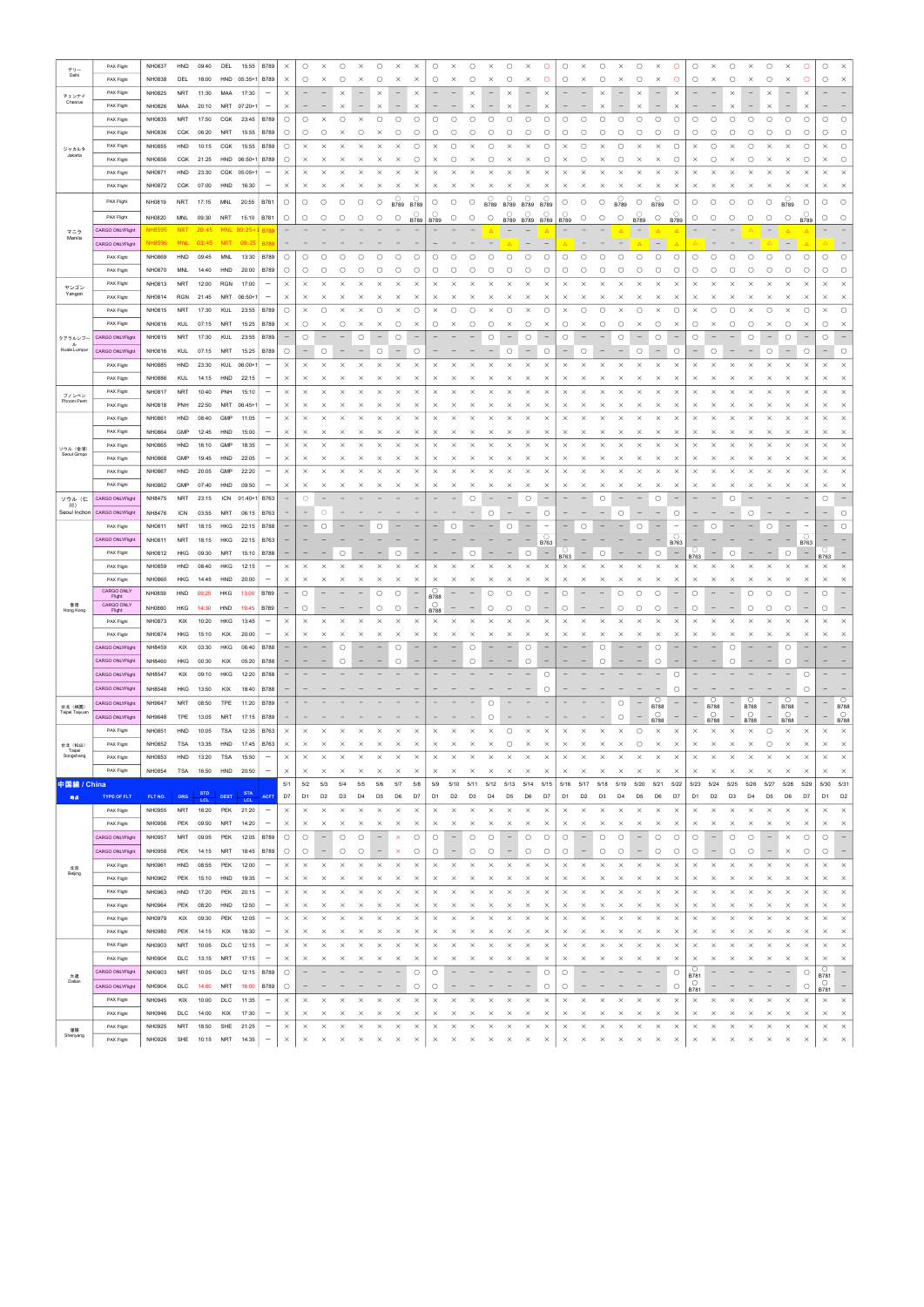|                           | PAX Flight           | NH0837        | HND        | 09:40      | DEL         | 15:55      | <b>B789</b>              | $\times$                 | O                        | $\times$                 | $\bigcirc$          | $\times$                 | $\circ$                         | $\times$              | $\times$                                                            | O                        | $\times$                        | О                 | $\times$                  | $\bigcirc$               | $\times$               | O                         | O                   | $\times$                 | О                        | $\times$                 | $\circ$<br>$\times$                             | O                        | $\circ$                  |                        | $\circ$                  | $\times$                 | $\circ$                         | $\times$                           | $\circ$                         | $\bigcirc$               | $\times$                        |
|---------------------------|----------------------|---------------|------------|------------|-------------|------------|--------------------------|--------------------------|--------------------------|--------------------------|---------------------|--------------------------|---------------------------------|-----------------------|---------------------------------------------------------------------|--------------------------|---------------------------------|-------------------|---------------------------|--------------------------|------------------------|---------------------------|---------------------|--------------------------|--------------------------|--------------------------|-------------------------------------------------|--------------------------|--------------------------|------------------------|--------------------------|--------------------------|---------------------------------|------------------------------------|---------------------------------|--------------------------|---------------------------------|
| デリー<br>Delhi              |                      |               |            |            |             |            |                          |                          |                          |                          |                     |                          |                                 |                       |                                                                     |                          |                                 |                   |                           |                          |                        |                           |                     |                          |                          |                          |                                                 |                          |                          |                        |                          |                          |                                 |                                    |                                 |                          |                                 |
|                           | PAX Flight           | NH0838        | DEL        | 18:00      | HND         | $05:35+$   | <b>B789</b>              | $\times$                 | $\circ$                  | $\times$                 | О                   | ×                        | 0                               | $\times$              | $\times$                                                            | O                        | $\times$                        | О                 | ×                         | $\circ$                  | ×                      | O                         | $\circ$             | ×                        | О                        | $\times$                 | $\circ$<br>$\times$                             | O                        | $\circ$                  | $\times$               | О                        | $\times$                 | $\circ$                         | $\times$                           | $\circ$                         | $\circ$                  | $\times$                        |
| チェンナイ                     | PAX Flight           | NH0825        | NRT        | 11:30      | MAA         | 17:30      | $\qquad \qquad -$        | $\times$                 |                          |                          | $\times$            |                          | $\times$                        |                       | $\times$                                                            |                          |                                 |                   |                           | $\times$                 |                        | $\times$                  |                     |                          | $\times$                 |                          | $\times$                                        | $\times$                 |                          |                        |                          |                          | $\times$                        |                                    | $\times$                        |                          |                                 |
| Chennai                   | PAX Flight           | NH0826        | MAA        | 20:10      | NRT         | $07:20+$   | $\qquad \qquad -$        | $\times$                 |                          |                          | $\times$            |                          | $\times$                        |                       | $\times$                                                            |                          |                                 | $\times$          |                           | $\times$                 | $\qquad \qquad -$      | $\times$                  |                     |                          | $\times$                 |                          | ×                                               | $\times$                 |                          |                        | $\times$                 |                          | ×                               |                                    | $\times$                        |                          |                                 |
|                           |                      |               |            |            |             |            |                          |                          |                          |                          |                     |                          |                                 |                       |                                                                     |                          |                                 |                   |                           |                          |                        |                           |                     |                          |                          |                          |                                                 |                          |                          |                        |                          |                          |                                 |                                    |                                 |                          |                                 |
|                           | PAX Flight           | NH0835        | NRT        | 17:50      | CGK         | 23:45      | B789                     | $\circ$                  | $\circ$                  | $\times$                 | $\bigcirc$          | $\times$                 | $\bigcirc$                      | $\circ$               | $\bigcirc$                                                          | $\circ$                  | $\circ$                         | $\circ$           | $\circ$                   | $\bigcirc$               | $\circ$                | $\bigcirc$                | O                   | О                        | $\bigcirc$               | $\circlearrowright$      | $\circ$<br>$\bigcirc$                           | О                        | $\circ$                  | $\circ$                | $\circ$                  | $\circ$                  | $\circ$                         | $\bigcirc$                         | $\circ$                         | $\bigcirc$               | $\circ$                         |
|                           | PAX Flight           | NH0836        | CGK        | 06:20      | NRT         | 15:55      | <b>B789</b>              | $\circ$                  | O                        | $\circ$                  | $\times$            | $\circ$                  | $\times$                        | O                     | $\circ$                                                             | O                        | $\circ$                         | $\circ$           | $\circ$                   | $\circ$                  | О                      | О                         | $\circ$             | О                        | О                        | О                        | $\circ$<br>О                                    | $\circ$                  | $\circ$                  | $\circ$                | О                        | $\circ$                  | $\circ$                         | $\circ$                            | $\circ$                         | $\circ$                  | $\circ$                         |
|                           | PAX Flight           | NH0855        | HND        | 10:15      | CGK         | 15:55      | B789                     | $\circ$                  | $\times$                 | $\times$                 | $\times$            | $\times$                 | $\times$                        | $\times$              | $\circ$                                                             | $\times$                 | $\circ$                         | $\times$          | $\circ$                   | $\times$                 | $\times$               | О                         | $\times$            | О                        | $\times$                 | О                        | $\times$<br>$\times$                            | $\circ$                  | $\times$                 | $\circ$                |                          | O                        | $\times$                        | $\times$                           | $\circ$                         | $\times$                 | $\circ$                         |
| ジャカルタ<br>Jakarta          |                      |               |            |            |             |            |                          |                          |                          |                          |                     |                          |                                 |                       |                                                                     |                          |                                 |                   |                           |                          |                        |                           |                     |                          |                          |                          |                                                 |                          |                          |                        |                          |                          |                                 |                                    |                                 |                          |                                 |
|                           | PAX Flight           | NH0856        | CGK        | 21:25      | HND         | $06:50+7$  | B789                     | $\circ$                  | $\times$                 | $\times$                 | $\times$            | ×                        | $\times$                        | $\times$              | $\circ$                                                             | $\times$                 | $\circ$                         | $\times$          | $\circ$                   | $\times$                 | $\times$               | О                         | $\times$            | О                        | $\times$                 | $\circ$                  | $\times$<br>$\times$                            | $\circ$                  | $\times$                 | $\circ$                | $\times$                 | $\circ$                  | ×                               | $\times$                           | $\circ$                         | $\times$                 | $\circ$                         |
|                           | PAX Flight           | NH0871        | HND        | 23:30      | CGK         | $05:05+$   | $\qquad \qquad -$        | $\times$                 | $\times$                 | $\times$                 | $\times$            | $\times$                 | $\times$                        | $\times$              | $\times$                                                            | $\times$                 | $\times$                        | $\times$          | $\times$                  | $\times$                 | $\times$               | ×                         | $\times$            | ×                        | $\times$                 | $\times$                 | $\times$<br>$\times$                            | $\times$                 | $\times$                 | $\times$               | $\times$                 | $\times$                 | $\times$                        | $\times$                           | $\times$                        | $\times$                 | $\times$                        |
|                           |                      |               |            |            |             |            |                          |                          |                          |                          |                     |                          |                                 |                       |                                                                     |                          |                                 |                   |                           |                          |                        |                           |                     |                          |                          |                          |                                                 |                          |                          |                        |                          |                          |                                 |                                    |                                 |                          |                                 |
|                           | PAX Flight           | NH0872        | CGK        | 07:00      | HND         | 16:30      | $\qquad \qquad$          | $\times$                 | $\times$                 | $\times$                 | $\times$            | $\times$                 | X                               | $\times$              | $\times$                                                            | $\times$                 | $\times$                        | ×                 | $\times$                  | ×                        | $\times$               | $\times$                  | ×                   | $\times$                 | ×                        | $\times$                 | $\times$<br>$\times$                            | $\times$                 | X                        | $\times$               | ×                        | $\times$                 | $\times$                        | X                                  | $\times$                        | $\times$                 | $\times$                        |
|                           | PAX Flight           | NH0819        | NRT        | 17:15      | MNL         | 20:55      | B781                     | $\circ$                  | $\circ$                  | $\circ$                  | $\circlearrowright$ | $\circ$                  | $\circ$                         |                       | $\underset{\text{B789}}{\bigcirc} \underset{\text{B789}}{\bigcirc}$ | $\circ$                  | $\circ$                         | $\circ$           | $\bigcirc$<br><b>B789</b> | $\circ$<br><b>B789</b>   | $\circ$<br><b>B789</b> | $\bigcirc$<br><b>B789</b> | $\circ$             | $\circ$                  | $\circ$                  | $\circ$<br><b>B789</b>   | $\circ$<br>$\bigcirc$<br><b>B789</b>            | $\circ$                  | $\circ$                  | $\circ$                | $\circ$                  | О                        | $\circ$                         | $\bigcirc$ B789                    | $\circlearrowright$             | $\circ$                  | $\circ$                         |
|                           |                      |               |            |            |             |            |                          |                          |                          |                          |                     |                          |                                 |                       |                                                                     |                          |                                 |                   |                           | $\circ$                  | O                      | О                         | О                   |                          |                          |                          | O                                               |                          |                          |                        |                          |                          |                                 |                                    |                                 |                          |                                 |
|                           | PAX Flight           | NH0820        | MNL        | 09:30      | NRT         | 15:10      | <b>B781</b>              | $\circ$                  | $\circ$                  | $\circ$                  | $\circ$             | $\circ$                  | $\bigcirc$                      | $\bigcirc$            | $\begin{array}{ c c c }\n\hline\n9789 & B789\n\end{array}$          |                          | $\circ$                         | $\circ$           | $\circ$                   |                          |                        | B789 B789 B789 B789       |                     | $\circ$                  | $\circlearrowright$      | $\circlearrowright$      | $\bigcirc$<br><b>B789</b>                       | $\bigcirc$ B789          | $\circ$                  | $\circ$                | $\circ$                  | $\bigcirc$               | $\circ$                         | $\circ$                            | <b>B789</b>                     | $\circ$                  | $\circ$                         |
| マニラ                       | CARGO ONLYFlight     | <b>NH8595</b> | <b>NRT</b> | 20:45      | <b>MNL</b>  | $D0:25 +$  | <b>B789</b>              |                          |                          |                          |                     |                          |                                 |                       |                                                                     |                          |                                 |                   |                           |                          |                        | Δ                         |                     |                          |                          |                          | $\overline{\phantom{a}}$<br>$\Delta$            | $\Delta$                 |                          |                        |                          |                          | $\overline{\phantom{a}}$        | $\Delta$                           | $\Delta$                        |                          |                                 |
| Manila                    | CARGO ONLYFlight     | NH8596        | <b>MNL</b> | 03:45      | <b>NRT</b>  | 09:25      | B78                      |                          |                          |                          |                     |                          |                                 |                       |                                                                     |                          |                                 |                   |                           |                          |                        |                           |                     |                          |                          |                          | $\overline{\phantom{m}}$                        |                          |                          |                        |                          |                          |                                 | $\overline{\phantom{0}}$           |                                 |                          |                                 |
|                           |                      |               |            |            |             |            |                          |                          |                          |                          |                     |                          |                                 |                       |                                                                     |                          |                                 |                   |                           |                          |                        |                           |                     |                          |                          |                          |                                                 |                          |                          |                        |                          |                          |                                 |                                    |                                 |                          |                                 |
|                           | PAX Flight           | NH0869        | HND        | 09:45      | MNL         | 13:30      | <b>B789</b>              | $\circ$                  | O                        | О                        | 0                   | Ο                        | Ο                               | $\circ$               | О                                                                   | $\circ$                  | $\circ$                         | $\circ$           | $\circ$                   | $\circ$                  | $\bigcirc$             | $\bigcirc$                | $\bigcirc$          | $\circ$                  | $\bigcirc$               | $\bigcirc$               | $\circlearrowright$<br>$\bigcirc$               | $\bigcirc$               | $\bigcirc$               | $\circ$                | $\circ$                  | $\circ$                  | $\circ$                         | $\bigcirc$                         | $\circ$                         | $\circlearrowright$      | $\circ$                         |
|                           | PAX Flight           | NH0870        | <b>MNL</b> | 14:40      | HND         | 20:00      | <b>B789</b>              | $\circ$                  | $\circ$                  | О                        | 0                   | С                        | О                               | C                     | $\circ$                                                             | O                        | O                               | O                 | О                         | O                        | О                      | О                         | О                   | О                        | О                        | О                        | О<br>O                                          | $\circ$                  | O                        | C                      | C                        | O                        | О                               | О                                  | O                               | $\circ$                  | $\circ$                         |
|                           | PAX Flight           | NH0813        | NRT        | 12:00      | <b>RGN</b>  | 17:00      | $\overline{\phantom{m}}$ | $\times$                 | $\times$                 | $\times$                 | $\times$            |                          | $\times$                        | $\times$              | $\times$                                                            | $\times$                 | $\times$                        | ×                 |                           | $\times$                 | $\times$               | ×                         | $\times$            | $\times$                 |                          | $\times$                 | $\times$<br>$\times$                            | $\times$                 | $\times$                 | ×                      |                          |                          | $\times$                        | $\times$                           | $\times$                        | $\times$                 | $\times$                        |
| ヤンゴン<br>Yangon            |                      |               |            |            |             |            |                          |                          |                          |                          |                     |                          |                                 |                       |                                                                     |                          |                                 |                   |                           |                          |                        |                           |                     |                          |                          |                          |                                                 |                          |                          |                        |                          |                          |                                 |                                    |                                 |                          |                                 |
|                           | PAX Flight           | NH0814        | RGN        | 21:45      | NRT         | $06:50+$   | $\qquad \qquad -$        | $\times$                 | $\times$                 | $\times$                 | ×                   | ×                        | ×                               | $\times$              | $\times$                                                            | $\times$                 | $\times$                        | $\times$          | ×                         | $\times$                 | ×                      | $\times$                  | $\times$            | $\times$                 | $\times$                 | $\times$                 | $\times$<br>$\times$                            | $\times$                 | $\times$                 | $\times$               | $\times$                 | $\times$                 | ×                               | X                                  | $\times$                        | $\times$                 | $\times$                        |
|                           | PAX Flight           | NH0815        | NRT        | 17:30      | KUL         | 23:55      | B789                     | $\circ$                  | $\times$                 | О                        | $\times$            |                          | O                               | $\times$              | $\circ$                                                             | $\times$                 | $\circ$                         | O                 | $\times$                  | О                        | $\times$               | $\circ$                   | $\times$            | $\circ$                  | Ο                        | $\times$                 | $\circ$<br>$\times$                             | $\circ$                  | $\times$                 | $\circ$                | $\circ$                  | $\times$                 | О                               | $\times$                           | $\circ$                         | $\times$                 | $\circ$                         |
|                           |                      |               |            |            |             |            |                          |                          |                          |                          |                     |                          |                                 |                       |                                                                     |                          |                                 |                   |                           |                          |                        |                           |                     |                          |                          |                          |                                                 |                          |                          |                        |                          |                          |                                 |                                    |                                 |                          |                                 |
|                           | PAX Flight           | NH0816        | KUL        | 07:15      | NRT         | 15:25      | B789                     | $\times$                 | $\circ$                  | $\times$                 | $\circ$             | $\times$                 | $\times$                        | $\circ$               | $\times$                                                            | O                        | $\times$                        | $\circ$           | $\circ$                   | X                        | $\circ$                | $\times$                  | $\circ$             | $\times$                 | $\circ$                  | $\circ$                  | $\circ$<br>$\times$                             | $\times$                 | $\circ$                  | $\times$               | О                        | $\circ$                  | $\times$                        | $\circ$                            | $\times$                        | $\circ$                  | $\times$                        |
| クアラルンブー                   | CARGO ONLYFlight     | NH0815        | <b>NRT</b> | 17:30      | KUL         | 23:55      | <b>B789</b>              |                          | О                        |                          |                     | $\circ$                  |                                 | O                     |                                                                     |                          |                                 |                   | $\circ$                   |                          | О                      |                           | O                   |                          |                          | $\circ$                  | $\circ$                                         |                          | О                        |                        |                          | $\circ$                  |                                 | $\circ$                            | $\overline{\phantom{m}}$        | $\circ$                  |                                 |
| ル<br>Kuala Lumpur         | CARGO ONLYFlight     | NH0816        | KUL        | 07:15      | NRT         | 15:25      | B789                     | $\circ$                  |                          | О                        |                     |                          | О                               |                       | $\circ$                                                             |                          |                                 |                   |                           | $\circ$                  |                        | $\circ$                   |                     | О                        |                          | $\overline{\phantom{0}}$ | $\circ$<br>$\qquad \qquad -$                    | $\circ$                  |                          | $\circ$                |                          |                          | $\circ$                         | $\qquad \qquad -$                  | $\circ$                         | $\qquad \qquad -$        | $\circ$                         |
|                           |                      |               |            |            |             |            |                          |                          |                          |                          |                     |                          |                                 |                       |                                                                     |                          |                                 |                   |                           |                          |                        |                           |                     |                          |                          |                          |                                                 |                          |                          |                        |                          |                          |                                 |                                    |                                 |                          |                                 |
|                           | PAX Flight           | NH0885        | HND        | 23:30      | KUL         | $06:00+$   | $\overline{\phantom{m}}$ | $\times$                 | $\times$                 | $\times$                 | $\times$            | $\times$                 | $\times$                        | $\times$              | $\times$                                                            | $\times$                 |                                 | $\times$          | $\times$                  | $\times$                 | $\times$               | $\times$                  | $\times$            | $\times$                 | $\times$                 | $\times$                 | $\times$<br>$\times$                            | $\times$                 | $\times$                 | $\times$               |                          | $\times$                 | $\times$                        | $\times$                           | $\times$                        | $\times$                 | $\times$                        |
|                           | PAX Flight           | <b>NH0886</b> | KUL        | 14:15      | HND         | 22:15      | $\overline{\phantom{m}}$ | $\times$                 | $\times$                 | ×                        | $\times$            | ×                        | ×                               | $\times$              | $\times$                                                            | $\times$                 | ×                               | $\times$          | ×                         | $\times$                 | ×                      | ×                         | $\times$            | ×                        | $\times$                 | $\times$                 | $\times$<br>$\times$                            | $\times$                 | X                        | $\times$               | $\times$                 | $\times$                 | $\times$                        | X                                  | $\times$                        | $\times$                 | $\times$                        |
|                           | PAX Flight           | NH0817        | <b>NRT</b> | 10:40      | PNH         | 15:10      | $\overline{\phantom{m}}$ | $\times$                 | $\times$                 | $\times$                 | $\times$            | $\times$                 | $\times$                        | $\times$              | $\times$                                                            | $\times$                 | $\times$                        | $\times$          | $\times$                  | $\times$                 | $\times$               | $\times$                  | $\times$            | $\times$                 | $\times$                 | $\times$                 | $\times$<br>$\times$                            | $\times$                 | $\times$                 | $\times$               | $\times$                 | $\times$                 | $\times$                        | $\times$                           | $\times$                        | $\times$                 | $\times$                        |
| ブノンペン<br>Phnom Penh       |                      |               |            |            |             |            |                          |                          |                          |                          |                     |                          |                                 |                       |                                                                     |                          |                                 |                   |                           |                          |                        |                           |                     |                          |                          |                          |                                                 |                          |                          |                        |                          |                          |                                 |                                    |                                 |                          |                                 |
|                           | PAX Flight           | NH0818        | PNH        | 22:50      | NRT         | $06:45+$   | $\overline{\phantom{m}}$ | $\times$                 | $\times$                 | $\times$                 | ×                   |                          | ×                               | $\times$              | $\times$                                                            | $\times$                 | $\times$                        | $\times$          | ×                         | $\times$                 | ×                      | ×                         | $\times$            | ×                        | ×                        | $\times$                 | $\times$<br>×                                   | $\times$                 | $\times$                 | $\times$               | ×                        | $\times$                 | ×                               | $\times$                           | $\times$                        | $\times$                 | $\times$                        |
|                           | PAX Flight           | NH0861        | HND        | 08:40      | GMP         | 11:05      | $\overline{\phantom{m}}$ | $\times$                 | $\times$                 |                          | $\times$            |                          |                                 | $\times$              | $\times$                                                            | $\times$                 | $\times$                        | $\times$          | ×                         | $\times$                 | $\times$               | ×                         | $\times$            | $\times$                 |                          | $\times$                 | $\times$<br>$\times$                            | $\times$                 | $\times$                 | X                      |                          | $\times$                 | $\times$                        | $\times$                           | $\times$                        | $\times$                 | $\times$                        |
|                           | PAX Flight           | NH0864        | GMP        | 12:45      | HND         | 15:00      | $\overline{\phantom{m}}$ | $\times$                 | $\times$                 |                          | ×                   |                          |                                 | ×                     | $\times$                                                            | $\times$                 | $\times$                        | ×                 | ×                         |                          |                        | ×                         | $\times$            | ×                        |                          | ×                        | $\times$<br>×                                   | $\times$                 | $\times$                 | ×                      |                          | $\times$                 | ×                               | $\times$                           | $\times$                        | $\times$                 | $\times$                        |
|                           |                      |               |            |            |             |            |                          |                          |                          |                          |                     |                          |                                 |                       |                                                                     |                          |                                 |                   |                           |                          |                        |                           |                     |                          |                          |                          |                                                 |                          |                          |                        |                          |                          |                                 |                                    |                                 |                          |                                 |
| ソウル (金浦)                  | PAX Flight           | NH0865        | HND        | 16:10      | GMP         | 18:35      | $\overline{\phantom{m}}$ | $\times$                 | $\times$                 | $\times$                 | $\times$            | $\times$                 | $\times$                        | $\times$              | $\times$                                                            | $\times$                 | $\times$                        | $\times$          | ×                         | $\times$                 | $\times$               | $\times$                  | $\times$            | $\times$                 | $\times$                 | $\times$                 | $\times$<br>$\times$                            | $\times$                 | $\times$                 | $\times$               | $\times$                 | $\times$                 | $\times$                        | $\times$                           | $\times$                        | $\times$                 | $\times$                        |
| Seoul Gimpo               | PAX Flight           | NH0868        | <b>GMP</b> | 19:45      | HND         | 22:05      | -                        | $\times$                 | $\times$                 |                          | ×                   | ×                        | ×                               | $\times$              | $\times$                                                            | $\times$                 | $\times$                        | $\times$          | ×                         | $\times$                 | $\times$               | ×                         | $\times$            | ×                        | x                        | $\times$                 | $\times$<br>$\times$                            | $\times$                 | $\times$                 | ×                      | $\times$                 | $\times$                 | ×                               | $\times$                           | $\times$                        | $\times$                 | $\times$                        |
|                           | PAX Flight           | NH0867        | HND        | 20:05      | GMP         | 22:20      | $\overline{\phantom{0}}$ | $\times$                 | $\times$                 |                          | $\times$            |                          |                                 | $\times$              | $\times$                                                            | $\times$                 | $\times$                        | $\times$          | $\times$                  | $\times$                 | $\times$               | ×                         | $\times$            | $\times$                 |                          | $\times$                 | $\times$<br>$\times$                            | $\times$                 | $\times$                 |                        |                          |                          | $\times$                        | $\times$                           | $\times$                        | $\times$                 | $\times$                        |
|                           |                      |               |            |            |             |            |                          |                          |                          |                          |                     |                          |                                 |                       |                                                                     |                          |                                 |                   |                           |                          |                        |                           |                     |                          |                          |                          |                                                 |                          |                          |                        |                          |                          |                                 |                                    |                                 |                          |                                 |
|                           | PAX Flight           | NH0862        | <b>GMP</b> | 07:40      | HND         | 09:50      | -                        | $\times$                 | $\times$                 | $\times$                 | ×                   | ×                        | $\times$                        | $\times$              | $\times$                                                            | $\times$                 | $\times$                        | $\times$          | $\times$                  | $\times$                 | ×                      | $\times$                  | $\times$            | ×                        | $\times$                 | $\times$                 | $\times$<br>$\times$                            | $\times$                 | $\times$                 | $\times$               | $\times$                 | $\times$                 | ×                               | $\times$                           | $\times$                        | $\times$                 | $\times$                        |
| ソウル (仁                    | CARGO ONLYFlight     | NH8475        | <b>NRT</b> | 23:15      | <b>ICN</b>  | $01:40+$   | <b>B763</b>              | $\qquad \qquad -$        | $\circ$                  |                          |                     |                          |                                 |                       |                                                                     |                          |                                 | C                 |                           |                          | $\circ$                |                           |                     |                          | Ο                        |                          | $\circ$                                         |                          |                          |                        | C                        |                          |                                 |                                    |                                 | O                        |                                 |
| 川)<br>Seoul Inchon        | CARGO ONLYFlight     | NH8476        | <b>ICN</b> | 03:55      | NRT         | 06:15      | B763                     | $\overline{\phantom{m}}$ | $\overline{\phantom{m}}$ | ∩                        |                     |                          |                                 |                       |                                                                     |                          |                                 |                   | C                         |                          |                        | $\circ$                   |                     |                          |                          | O                        |                                                 | $\circ$                  |                          |                        |                          |                          |                                 |                                    |                                 |                          | $\circ$                         |
|                           |                      |               |            |            |             |            |                          |                          |                          |                          |                     |                          |                                 |                       |                                                                     |                          |                                 |                   |                           |                          |                        |                           |                     |                          |                          |                          |                                                 |                          |                          |                        |                          |                          |                                 |                                    |                                 |                          |                                 |
|                           | PAX Flight           | NH0811        | <b>NRT</b> | 18:15      | HKG         | 22:15      | B788                     |                          |                          | Ο                        |                     |                          |                                 |                       |                                                                     |                          | $\circ$                         |                   |                           | О                        |                        |                           |                     | О                        |                          |                          | О                                               | $\overline{\phantom{0}}$ |                          | $\circ$                |                          |                          | О                               |                                    | $\hspace{0.1mm}-\hspace{0.1mm}$ |                          | $\circ$                         |
|                           | CARGO ONLYFlight     | NH0811        | <b>NRT</b> | 18:15      | HKG         | 22:15      | <b>B763</b>              | $\qquad \qquad -$        |                          |                          |                     |                          |                                 |                       |                                                                     |                          |                                 |                   |                           |                          |                        | $\bigcirc$<br>B763        |                     |                          |                          |                          |                                                 | $\bigcirc$<br>B763       |                          |                        |                          |                          |                                 |                                    | $\circ$<br>B763                 |                          |                                 |
|                           | PAX Flight           | NH0812        | HKG        | 09:30      | <b>NRT</b>  | 15:10      | B788                     | -                        |                          |                          | О                   |                          |                                 | О                     |                                                                     |                          |                                 | О                 |                           |                          | O                      | $\overline{\phantom{0}}$  |                     |                          | О                        |                          | $\circ$                                         | $\overline{\phantom{0}}$ |                          |                        | О                        |                          |                                 | $\circ$                            | $\overline{\phantom{m}}$        |                          |                                 |
|                           |                      |               |            |            |             |            |                          |                          |                          |                          |                     |                          |                                 |                       |                                                                     |                          |                                 |                   |                           |                          |                        |                           | B763                |                          |                          |                          |                                                 |                          | B763                     |                        |                          |                          |                                 |                                    |                                 | B763                     |                                 |
|                           | PAX Flight           | NH0859        | HND        | 08:40      | <b>HKG</b>  | 12:15      | $\overline{\phantom{m}}$ | $\times$                 | $\times$                 | $\times$                 | $\times$            | $\times$                 | $\times$                        | $\times$              | $\times$                                                            | $\times$                 | $\times$                        | $\times$          | $\times$                  | $\times$                 | $\times$               | $\times$                  | $\times$            | $\times$                 | $\times$                 | $\times$                 | $\times$<br>$\times$                            | $\times$                 | $\times$                 | $\times$               | $\times$                 | $\times$                 | $\times$                        | $\times$                           | $\times$                        | $\times$                 | $\times$                        |
|                           | PAX Flight           | NH0860        | HKG        | 14:45      | HND         | 20:00      | $\qquad \qquad -$        | $\times$                 | $\times$                 | $\times$                 | $\times$            | $\times$                 | $\times$                        | $\times$              | $\times$                                                            | $\times$                 | $\times$                        | $\times$          | $\times$                  | $\times$                 | $\times$               | $\times$                  | $\times$            | $\times$                 | $\times$                 | $\times$                 | $\times$<br>$\times$                            | $\times$                 | $\times$                 | $\times$               | $\times$                 | $\times$                 | $\times$                        | $\times$                           | $\times$                        | $\times$                 | $\times$                        |
|                           | CARGO ONLY           | NH0859        | HND        | 09:25      | HKG         | 13:00      | B789                     | $\overline{\phantom{0}}$ | $\circ$                  |                          |                     |                          | $\circlearrowright$             | $\bigcirc$            | $\overline{\phantom{a}}$                                            | $\circ$                  |                                 |                   | $\circ$                   | $\bigcirc$               | $\bigcirc$             |                           | $\bigcirc$          |                          |                          | $\bigcirc$               | $\bigcirc$<br>$\circlearrowright$               |                          | $\circ$                  |                        |                          | $\circ$                  | $\bigcirc$                      | $\bigcirc$                         | $\overline{\phantom{m}}$        | $\circ$                  | $\hspace{0.1mm}-\hspace{0.1mm}$ |
| 香港                        | Flight<br>CARGO ONLY |               |            |            |             |            |                          |                          |                          |                          |                     |                          |                                 |                       |                                                                     | <b>B788</b><br>$\circ$   |                                 |                   |                           |                          |                        |                           |                     |                          |                          |                          |                                                 |                          |                          |                        |                          |                          |                                 |                                    |                                 |                          |                                 |
| Hong Kong                 | Flight               | NH0860        | HKG        | 14:30      | HND         | 19:45      | <b>B789</b>              | $\overline{\phantom{m}}$ | O                        |                          |                     |                          | $\circ$                         | $\circlearrowright$   | $\overline{\phantom{m}}$                                            | <b>B788</b>              | $\overline{\phantom{0}}$        | $\qquad \qquad -$ | $\circ$                   | О                        | $\circ$                | $\qquad \qquad -$         | $\circ$             | $\qquad \qquad -$        | $\overline{\phantom{m}}$ | $\circ$                  | $\circ$<br>$\circ$                              |                          | О                        |                        | $\overline{\phantom{m}}$ | $\circ$                  | $\circ$                         | $\circ$                            | $\hspace{0.1mm}-\hspace{0.1mm}$ | $\circlearrowright$      | $\overline{\phantom{m}}$        |
|                           | PAX Flight           | NH0873        | KIX        | 10:20      | HKG         | 13:45      | $\overline{\phantom{m}}$ | $\times$                 | $\times$                 | $\times$                 | $\times$            | $\times$                 | $\times$                        | $\times$              | $\times$                                                            | $\times$                 | $\times$                        | $\times$          | $\times$                  | $\times$                 | $\times$               | $\times$                  | $\times$            | $\times$                 | $\times$                 | $\times$                 | $\times$<br>$\times$                            | $\times$                 | $\times$                 | $\times$               | $\times$                 | $\times$                 | $\times$                        | $\times$                           | $\times$                        | $\times$                 | $\boldsymbol{\times}$           |
|                           | PAX Flight           | NH0874        | HKG        | 15:10      | KIX         | 20:00      | $\overline{\phantom{m}}$ | $\times$                 | $\times$                 | $\times$                 | $\times$            | $\times$                 | $\times$                        | $\times$              | $\times$                                                            | $\times$                 | $\times$                        | $\times$          | $\times$                  | $\times$                 | $\times$               | $\times$                  | $\times$            | $\times$                 | $\times$                 | $\times$                 | $\times$<br>$\times$                            | $\times$                 | $\times$                 | $\times$               | $\times$                 | $\times$                 | $\times$                        | $\times$                           | $\times$                        | $\times$                 | $\times$                        |
|                           |                      |               |            |            |             |            |                          |                          |                          |                          |                     |                          |                                 |                       |                                                                     |                          |                                 |                   |                           |                          |                        |                           |                     |                          |                          |                          |                                                 |                          |                          |                        |                          |                          |                                 |                                    |                                 |                          |                                 |
|                           | CARGO ONLYFlight     | NH8459        | KIX        | 03:30      | HKG         | 06:40      | <b>B788</b>              | $\overline{\phantom{m}}$ | $\overline{\phantom{0}}$ | $\overline{\phantom{0}}$ | $\circlearrowright$ | $\overline{\phantom{0}}$ | $\overline{\phantom{m}}$        | $\circ$               | $\hspace{0.1mm}-\hspace{0.1mm}$                                     | $\overline{\phantom{0}}$ | $\overline{\phantom{0}}$        | $\circ$           | $\overline{\phantom{0}}$  | $\qquad \qquad -$        | $\circ$                | $\qquad \qquad -$         | ۰                   | $\overline{\phantom{m}}$ | $\circ$                  | $\overline{\phantom{0}}$ | $\circ$<br>$\qquad \qquad -$                    | $\overline{\phantom{m}}$ | $\overline{\phantom{0}}$ |                        | $\circ$                  | $\overline{\phantom{0}}$ | $\qquad \qquad -$               | $\circ$                            | $\overline{\phantom{a}}$        | $\overline{\phantom{0}}$ | $\hspace{0.1mm}-\hspace{0.1mm}$ |
|                           | CARGO ONLYFlight     | NH8460        | HKG        | 00:30      | KIX         | 05:20      | B788                     | -                        |                          |                          | $\circlearrowright$ |                          | -                               | $\circ$               | $\overline{a}$                                                      |                          | $\qquad \qquad -$               | $\circ$           |                           | $\qquad \qquad -$        | $\circ$                | $\overline{a}$            |                     | $\overline{\phantom{m}}$ | $\circ$                  | $\qquad \qquad -$        | $\circlearrowright$<br>$\qquad \qquad -$        |                          |                          |                        | $\circ$                  |                          | $\overline{\phantom{m}}$        | $\bigcirc$                         | $\qquad \qquad -$               | $\overline{\phantom{0}}$ | $\qquad \qquad -$               |
|                           | CARGO ONLYFlight     | NH8547        | KIX        | 09:10      | <b>HKG</b>  | 12:20      | <b>B788</b>              | $\overline{\phantom{m}}$ |                          |                          |                     |                          |                                 |                       |                                                                     |                          |                                 |                   |                           |                          | $\qquad \qquad -$      | $\circ$                   |                     |                          |                          |                          | $\overline{\phantom{m}}$                        | $\circ$                  |                          |                        |                          |                          |                                 | $\overline{\phantom{m}}$           | $\circ$                         | $\overline{\phantom{m}}$ |                                 |
|                           |                      |               |            |            |             |            |                          |                          |                          |                          |                     |                          |                                 |                       |                                                                     |                          |                                 |                   |                           |                          |                        |                           |                     |                          |                          |                          |                                                 |                          |                          |                        |                          |                          |                                 |                                    |                                 |                          |                                 |
|                           | CARGO ONLYFlight     | NH8548        | HKG        | 13:50      | KIX         | 18:40      | B788                     |                          |                          |                          |                     |                          |                                 |                       |                                                                     |                          |                                 |                   |                           |                          |                        | О                         |                     |                          |                          |                          | $\overline{\phantom{0}}$                        | $\circlearrowright$      |                          |                        |                          |                          |                                 |                                    | $\circ$                         |                          | $\overline{\phantom{m}}$        |
|                           | CARGO ONLYFlight     | NH9647        | NRT        | 08:50      | TPE         | 11:20      | <b>B789</b>              | $\qquad \qquad -$        |                          |                          |                     |                          |                                 |                       |                                                                     |                          |                                 |                   | Ο                         |                          |                        |                           |                     |                          |                          | $\circ$                  | $\circ$<br>$\overline{\phantom{a}}$             |                          |                          | $\circ$<br><b>B788</b> |                          | O<br><b>B788</b>         |                                 | $\circlearrowright$<br><b>B788</b> | $\overline{\phantom{m}}$        | $\overline{\phantom{0}}$ | $\circ$                         |
| 台北 (桃園)<br>Taipei Taiyuan |                      |               |            |            |             |            |                          |                          |                          |                          |                     |                          |                                 |                       |                                                                     |                          |                                 |                   |                           |                          |                        |                           |                     |                          |                          |                          | <b>B788</b><br>$\circ$                          |                          |                          | $\circ$                |                          | $\circ$                  |                                 | $\circ$                            |                                 |                          | <b>B788</b><br>$\circ$          |
|                           | CARGO ONLYFlight     | NH9648        | TPE        | 13:05      | NRT         | 17:15      | <b>B789</b>              |                          |                          |                          |                     |                          |                                 |                       |                                                                     |                          |                                 |                   | O                         |                          |                        |                           |                     |                          |                          | $\circlearrowright$      | $\overline{\phantom{a}}$<br><b>B788</b>         | $\overline{\phantom{0}}$ | $\overline{\phantom{m}}$ | <b>B788</b>            | $\overline{\phantom{m}}$ | <b>B788</b>              | $\overline{\phantom{m}}$        | <b>B788</b>                        | $\overline{\phantom{m}}$        | $\qquad \qquad -$        | <b>B788</b>                     |
|                           | PAX Flight           | NH0851        | HND        | 10:05      | <b>TSA</b>  | 12:35      | <b>B763</b>              | $\times$                 | $\times$                 | $\times$                 | $\times$            | $\times$                 | $\times$                        | $\times$              | $\times$                                                            | $\times$                 | $\times$                        | $\times$          | $\times$                  | $\circ$                  | $\times$               | $\times$                  | $\times$            | $\times$                 | $\times$                 | $\times$                 | $\circ$<br>$\times$                             | $\times$                 | $\times$                 | $\times$               | $\times$                 | $\times$                 | $\circ$                         | $\times$                           | $\times$                        | $\times$                 | $\times$                        |
| 台北 (松山)                   | PAX Flight           | NH0852        | TSA        | 13:35      | HND         | 17:45      | <b>B763</b>              | $\times$                 | $\times$                 | $\times$                 | $\times$            | $\times$                 | ×                               | $\times$              | $\times$                                                            | $\times$                 | $\times$                        | $\times$          | $\times$                  | О                        | ×                      | $\times$                  | $\times$            | $\times$                 | $\times$                 | $\times$                 | $\circ$<br>×                                    | $\times$                 | ×                        | $\times$               | $\times$                 | $\times$                 | $\circ$                         | $\times$                           | $\times$                        | $\times$                 | $\times$                        |
| Taipei<br>Songshang       |                      |               |            |            |             |            |                          |                          |                          |                          |                     |                          |                                 |                       |                                                                     |                          |                                 |                   |                           |                          |                        |                           |                     |                          |                          |                          |                                                 |                          |                          |                        |                          |                          |                                 |                                    |                                 |                          |                                 |
|                           | PAX Flight           | NH0853        | HND        | 13:20      | <b>TSA</b>  | 15:50      | $\overline{\phantom{0}}$ | $\times$                 | $\times$                 | $\times$                 | $\times$            | $\times$                 | $\times$                        | $\times$              | $\times$                                                            | $\times$                 | $\times$                        | $\times$          | $\times$                  | $\times$                 | $\times$               | $\times$                  | $\times$            | $\times$                 | $\times$                 | $\times$                 | $\times$<br>$\times$                            | $\times$                 | $\times$                 | $\times$               | $\times$                 | $\times$                 | $\times$                        | $\times$                           | $\times$                        | $\times$                 | $\times$                        |
|                           | PAX Flight           | NH0854        | TSA        | 16:50      | HND         | 20:50      | $\overline{\phantom{m}}$ | $\times$                 | $\times$                 | $\times$                 | $\times$            | ×                        | ×                               | ×                     | $\times$                                                            | $\times$                 | $\times$                        | $\times$          | $\times$                  | $\times$                 | ×                      | $\times$                  | ×                   | $\times$                 | $\times$                 | $\times$                 | $\times$<br>×                                   | $\times$                 | ×                        | $\times$               | $\times$                 | $\times$                 | $\times$                        | $\times$                           | $\times$                        | $\times$                 | $\times$                        |
| 中国線 / China               |                      |               |            |            |             |            |                          | 5/1                      | 5/2                      | 5/3                      | 5/4                 | 5/5                      | 5/6                             | 5/7                   | 5/8                                                                 | 5/9                      | 5/10                            | 5/11              | 5/12                      | 5/13                     | 5/14                   | 5/15                      | 5/16                | 5/17                     | 5/18                     | 5/19                     | 5/20<br>5/21                                    | 5/22                     | 5/23                     | 5/24                   | 5/25                     | 5/26                     | 5/27                            | 5/28                               | 5/29                            | 5/30                     | 5/31                            |
|                           |                      |               |            | <b>STD</b> |             | <b>STA</b> |                          |                          |                          |                          |                     |                          |                                 |                       |                                                                     |                          |                                 |                   |                           |                          |                        |                           |                     |                          |                          |                          |                                                 |                          |                          |                        |                          |                          |                                 |                                    |                                 |                          |                                 |
| 地点                        | <b>TYPE OF FLT</b>   | FLT NO.       | ORG        | LCL        | <b>DEST</b> | LCL        | <b>ACFT</b>              | D7                       | D <sub>1</sub>           | D <sub>2</sub>           | D <sub>3</sub>      | D <sub>4</sub>           | D <sub>5</sub>                  | D <sub>6</sub>        | D7                                                                  | D <sub>1</sub>           | D <sub>2</sub>                  | D <sub>3</sub>    | D4                        | D <sub>5</sub>           | D6                     | D7                        | D <sub>1</sub>      | D <sub>2</sub>           | D <sub>3</sub>           | D <sub>4</sub>           | D6<br>D5                                        | D7                       | D1                       | D <sub>2</sub>         | D <sub>3</sub>           | D <sub>4</sub>           | D <sub>5</sub>                  | D6                                 | D7                              | D <sub>1</sub>           | D <sub>2</sub>                  |
|                           | PAX Flight           | NH0955        | <b>NRT</b> | 18:20      | PEK         | 21:20      | $\overline{\phantom{0}}$ | $\times$                 | $\times$                 | $\times$                 | $\times$            | $\times$                 | $\times$                        | $\times$              | $\times$                                                            | $\times$                 | $\times$                        | $\times$          | $\times$                  | $\times$                 | ×                      | ×                         | $\times$            | $\times$                 | $\times$                 | $\times$                 | $\times$<br>$\times$                            | $\times$                 | $\times$                 | $\times$               | $\times$                 | $\times$                 | $\times$                        | $\times$                           | $\times$                        | $\times$                 | $\times$                        |
|                           | PAX Flight           | NH0956        | PEK        | 09:50      | NRT         | 14:20      | -                        | $\times$                 | $\times$                 | $\times$                 | $\times$            | $\times$                 | $\times$                        | $\times$              | $\times$                                                            | $\times$                 | $\times$                        | $\times$          | $\times$                  | $\times$                 | $\times$               | $\times$                  | $\times$            | $\times$                 | $\times$                 | $\times$                 | $\times$<br>$\times$                            | $\times$                 | $\times$                 | $\times$               | $\times$                 | $\times$                 | $\times$                        | $\times$                           | $\times$                        | $\times$                 | $\times$                        |
|                           |                      |               |            |            |             |            |                          |                          |                          |                          |                     |                          |                                 |                       |                                                                     |                          |                                 |                   |                           |                          |                        |                           |                     |                          |                          |                          |                                                 |                          |                          |                        |                          |                          |                                 |                                    |                                 |                          |                                 |
|                           | CARGO ONLYFlight     | <b>NH0957</b> | <b>NRT</b> | 09:05      | PEK         | 12:05      | <b>B789</b>              | $\circ$                  | $\circ$                  |                          | $\circ$             | $\bigcirc$               |                                 | $\times$              | $\bigcirc$                                                          | $\circ$                  |                                 | $\circ$           | $\circ$                   |                          | $\circ$                | $\bigcirc$                | $\bigcirc$          |                          | $\circ$                  | $\bigcirc$               | $\circlearrowright$<br>$\overline{\phantom{0}}$ | $\bigcirc$               | $\bigcirc$               |                        | $\circ$                  | $\circ$                  |                                 | $\times$                           | $\bigcirc$                      | $\circlearrowright$      | $\overline{\phantom{m}}$        |
|                           | CARGO ONLYFlight     | NH0958        | PEK        | 14:15      | NRT         | 18:45      | <b>B789</b>              | $\circ$                  | $\circ$                  | $\qquad \qquad -$        | $\circlearrowright$ | $\circ$                  | $\hspace{0.1mm}-\hspace{0.1mm}$ | $\boldsymbol{\times}$ | $\circ$                                                             | $\circ$                  | $\hspace{0.1mm}-\hspace{0.1mm}$ | $\circ$           | $\circ$                   | $\overline{\phantom{m}}$ | $\circ$                | $\circ$                   | $\circlearrowright$ | $\overline{\phantom{m}}$ | $\circ$                  | $\circ$                  | $\circ$<br>$\hspace{0.1mm}-\hspace{0.1mm}$      | $\circ$                  | $\circ$                  | $\qquad \qquad -$      | $\circ$                  | $\circ$                  | $\hspace{0.1mm}-\hspace{0.1mm}$ | $\times$                           | $\circ$                         | $\circlearrowright$      | $\hspace{0.1mm}-\hspace{0.1mm}$ |
|                           |                      |               | HND        | 08:55      | PEK         | 12:00      | $\overline{\phantom{m}}$ |                          |                          | $\times$                 |                     |                          | $\times$                        |                       |                                                                     |                          | $\times$                        |                   | $\times$                  | $\times$                 | $\times$               |                           |                     | $\times$                 | $\times$                 |                          |                                                 |                          |                          |                        | $\times$                 |                          |                                 | $\times$                           | $\times$                        |                          | $\times$                        |
| 北京<br>Beijing             | PAX Flight           | NH0961        |            |            |             |            |                          | $\times$                 | $\times$                 |                          | $\times$            | $\times$                 |                                 | $\times$              | $\times$                                                            | $\times$                 |                                 | $\times$          |                           |                          |                        | $\times$                  | $\times$            |                          |                          | $\times$                 | $\times$<br>$\times$                            | $\times$                 | $\times$                 | $\times$               |                          | $\times$                 | $\times$                        |                                    |                                 | $\times$                 |                                 |
|                           | PAX Flight           | NH0962        | PEK        | 15:10      | HND         | 19:35      | $\overline{\phantom{m}}$ | $\times$                 | $\times$                 | $\times$                 | $\times$            | $\times$                 | $\times$                        | $\times$              | $\times$                                                            | $\times$                 | $\times$                        | $\times$          | $\times$                  | X                        | $\times$               | $\times$                  | $\times$            | $\times$                 | $\times$                 | $\times$                 | $\times$<br>$\times$                            | $\times$                 | $\times$                 | $\times$               | $\times$                 | $\times$                 | $\times$                        | $\times$                           | $\times$                        | $\times$                 | $\times$                        |
|                           | PAX Flight           | NH0963        | HND        | 17:20      | PEK         | 20:15      | $\overline{\phantom{0}}$ | $\times$                 | $\times$                 | $\times$                 | $\times$            | $\times$                 | $\times$                        | $\times$              | $\times$                                                            | $\times$                 | $\times$                        | $\times$          | $\times$                  | $\times$                 | $\times$               | $\times$                  | $\times$            | $\times$                 | $\times$                 | $\times$                 | $\times$<br>$\times$                            | $\times$                 | $\times$                 | $\times$               | $\times$                 | $\times$                 | $\times$                        | $\times$                           | $\times$                        | $\times$                 | $\times$                        |
|                           |                      |               |            |            |             |            |                          |                          |                          |                          |                     |                          |                                 |                       |                                                                     |                          |                                 |                   |                           |                          |                        |                           |                     |                          |                          |                          |                                                 |                          |                          |                        |                          |                          |                                 |                                    |                                 |                          |                                 |
|                           | PAX Flight           | NH0964        | PEK        | 08:20      | HND         | 12:50      | $\overline{\phantom{m}}$ | $\times$                 | $\times$                 | $\times$                 | $\times$            | $\times$                 | $\times$                        | $\times$              | $\times$                                                            | $\times$                 | $\times$                        | $\times$          | $\times$                  | X                        | $\times$               | $\times$                  | $\times$            | $\times$                 | $\times$                 | $\times$                 | $\times$<br>$\times$                            | $\times$                 | $\times$                 | $\times$               | $\times$                 | $\times$                 | $\times$                        | $\times$                           | $\times$                        | $\times$                 | $\times$                        |
|                           | PAX Flight           | NH0979        | KIX        | 09:30      | PEK         | 12:05      | $\overline{\phantom{m}}$ | $\times$                 | $\times$                 | $\times$                 | $\times$            | $\times$                 | $\times$                        | $\times$              | $\times$                                                            | $\times$                 | $\times$                        | $\times$          | $\times$                  | $\times$                 | $\times$               | $\times$                  | $\times$            | $\times$                 | $\times$                 | $\times$                 | $\times$<br>$\times$                            | $\times$                 | $\times$                 | $\times$               | $\times$                 | $\times$                 | $\times$                        | $\times$                           | $\times$                        | $\times$                 | $\times$                        |
|                           | PAX Flight           | NH0980        | PEK        | 14:15      | KIX         | 18:30      | $\overline{\phantom{m}}$ | $\times$                 | ×                        | $\times$                 | $\times$            | $\times$                 | $\mathsf{x}$                    | $\times$              | $\times$                                                            | $\times$                 | $\times$                        | $\times$          | $\times$                  | $\times$                 | $\times$               | $\times$                  | $\times$            | $\times$                 | $\times$                 | $\mathsf{\times}$        | $\times$<br>$\times$                            | $\times$                 | $\times$                 | $\times$               | ×                        | $\times$                 | $\times$                        | $\times$                           | $\times$                        | $\times$                 | $\times$                        |
|                           |                      |               |            |            |             |            |                          |                          |                          |                          |                     |                          |                                 |                       |                                                                     |                          |                                 |                   |                           |                          |                        |                           |                     |                          |                          |                          |                                                 |                          |                          |                        |                          |                          |                                 |                                    |                                 |                          |                                 |
|                           | PAX Flight           | NH0903        | <b>NRT</b> | 10:05      | <b>DLC</b>  | 12:15      | $\overline{\phantom{m}}$ | $\times$                 | $\times$                 | $\times$                 | $\times$            | $\times$                 | $\times$                        | $\times$              | $\times$                                                            | $\times$                 | $\times$                        | $\times$          | $\times$                  | $\times$                 | $\times$               | $\times$                  | $\times$            | $\times$                 | $\times$                 | $\times$                 | $\times$<br>$\times$                            | $\times$                 | $\times$                 | $\times$               | $\times$                 | $\times$                 | $\times$                        | $\times$                           | $\times$                        | $\times$                 | $\times$                        |
|                           | PAX Flight           | NH0904        | <b>DLC</b> | 13:15      | NRT         | 17:15      | $\overline{\phantom{m}}$ | $\times$                 | $\times$                 | $\times$                 | $\times$            | $\times$                 | $\times$                        | $\times$              | $\times$                                                            | $\times$                 | $\times$                        | $\times$          | $\times$                  | $\times$                 | ×                      | $\times$                  | $\times$            | $\times$                 | $\times$                 | $\times$                 | $\times$<br>$\times$                            | $\times$                 | $\times$                 | $\times$               | $\times$                 | $\times$                 | $\times$                        | $\times$                           | $\times$                        | $\times$                 | $\times$                        |
|                           |                      |               |            |            |             |            |                          |                          |                          |                          |                     |                          |                                 |                       |                                                                     |                          |                                 |                   |                           |                          |                        |                           |                     |                          |                          |                          |                                                 |                          |                          |                        |                          |                          |                                 |                                    |                                 | $\circ$                  |                                 |
| 大連                        | CARGO ONLYFlight     | NH0903        | NRT        | 10:05      | DLC         | 12:15      | <b>B789</b>              | $\circ$                  |                          |                          |                     |                          |                                 |                       | $\circlearrowright$                                                 | $\circlearrowright$      |                                 |                   |                           |                          | $\qquad \qquad -$      | $\circ$                   | $\circ$             |                          |                          |                          |                                                 | $\circ$                  | $\circ$<br>B781          |                        |                          |                          |                                 | $\equiv$                           | $\circlearrowright$             | B781                     |                                 |

|          | CARGO ONLYFlight  | │NH0904 DLC 14:00 NRT 18:00│B789│〇│─ ─ ─ ─ ─ ○│〇│─ ─ ─ ─ ─ ○│〇│─ ─ ─ ─ ─ │〇│ $_{\rm B781}$ ─ ─ ─ ─ ─ │ |  |  |  |  |  |  |  |  |  |  |  |  |  |  |  |  |  |                     |  |
|----------|-------------------|--------------------------------------------------------------------------------------------------------|--|--|--|--|--|--|--|--|--|--|--|--|--|--|--|--|--|---------------------|--|
|          | PAX Flight        |                                                                                                        |  |  |  |  |  |  |  |  |  |  |  |  |  |  |  |  |  | 'x x x x x x x  x x |  |
|          | <b>PAX Flight</b> |                                                                                                        |  |  |  |  |  |  |  |  |  |  |  |  |  |  |  |  |  |                     |  |
|          | <b>PAX Flight</b> |                                                                                                        |  |  |  |  |  |  |  |  |  |  |  |  |  |  |  |  |  |                     |  |
| Shenyang | <b>PAX Flight</b> |                                                                                                        |  |  |  |  |  |  |  |  |  |  |  |  |  |  |  |  |  |                     |  |